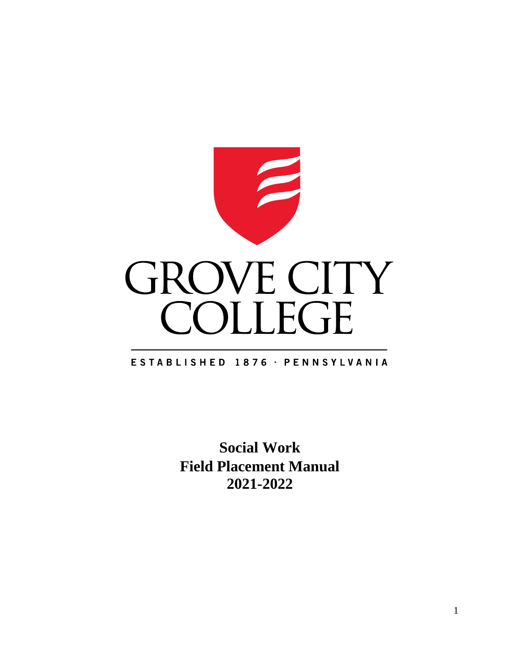

### ESTABLISHED 1876 · PENNSYLVANIA

**Social Work Field Placement Manual 2021-2022**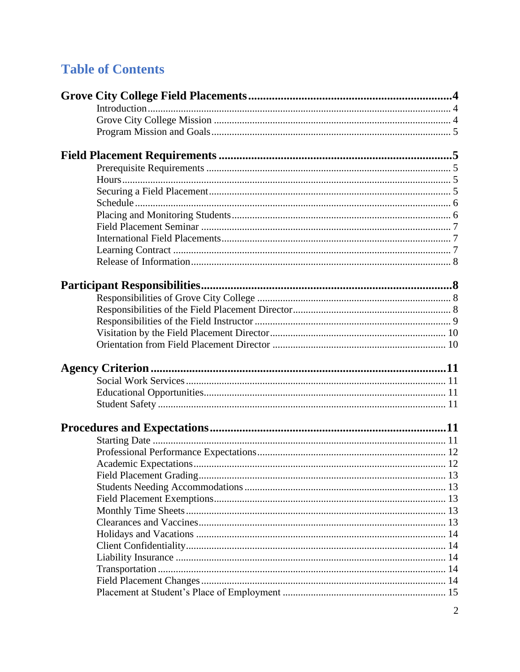# **Table of Contents**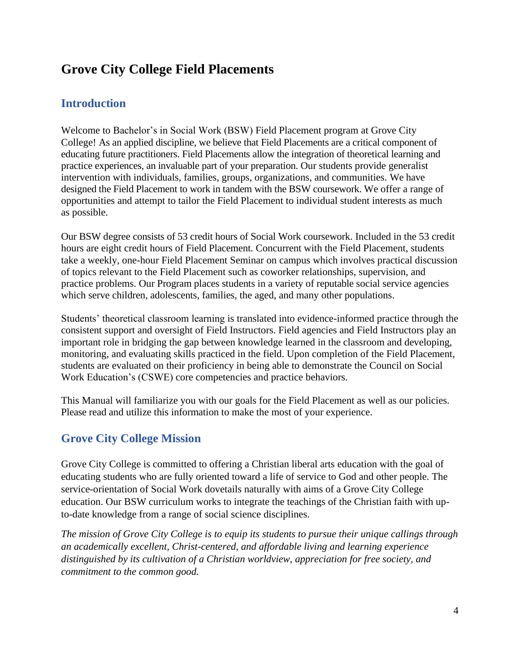# <span id="page-3-0"></span>**Grove City College Field Placements**

## <span id="page-3-1"></span>**Introduction**

Welcome to Bachelor's in Social Work (BSW) Field Placement program at Grove City College! As an applied discipline, we believe that Field Placements are a critical component of educating future practitioners. Field Placements allow the integration of theoretical learning and practice experiences, an invaluable part of your preparation. Our students provide generalist intervention with individuals, families, groups, organizations, and communities. We have designed the Field Placement to work in tandem with the BSW coursework. We offer a range of opportunities and attempt to tailor the Field Placement to individual student interests as much as possible.

Our BSW degree consists of 53 credit hours of Social Work coursework. Included in the 53 credit hours are eight credit hours of Field Placement. Concurrent with the Field Placement, students take a weekly, one-hour Field Placement Seminar on campus which involves practical discussion of topics relevant to the Field Placement such as coworker relationships, supervision, and practice problems. Our Program places students in a variety of reputable social service agencies which serve children, adolescents, families, the aged, and many other populations.

Students' theoretical classroom learning is translated into evidence-informed practice through the consistent support and oversight of Field Instructors. Field agencies and Field Instructors play an important role in bridging the gap between knowledge learned in the classroom and developing, monitoring, and evaluating skills practiced in the field. Upon completion of the Field Placement, students are evaluated on their proficiency in being able to demonstrate the Council on Social Work Education's (CSWE) core competencies and practice behaviors.

This Manual will familiarize you with our goals for the Field Placement as well as our policies. Please read and utilize this information to make the most of your experience.

## <span id="page-3-2"></span>**Grove City College Mission**

Grove City College is committed to offering a Christian liberal arts education with the goal of educating students who are fully oriented toward a life of service to God and other people. The service-orientation of Social Work dovetails naturally with aims of a Grove City College education. Our BSW curriculum works to integrate the teachings of the Christian faith with upto-date knowledge from a range of social science disciplines.

*The mission of Grove City College is to equip its students to pursue their unique callings through an academically excellent, Christ-centered, and affordable living and learning experience distinguished by its cultivation of a Christian worldview, appreciation for free society, and commitment to the common good.*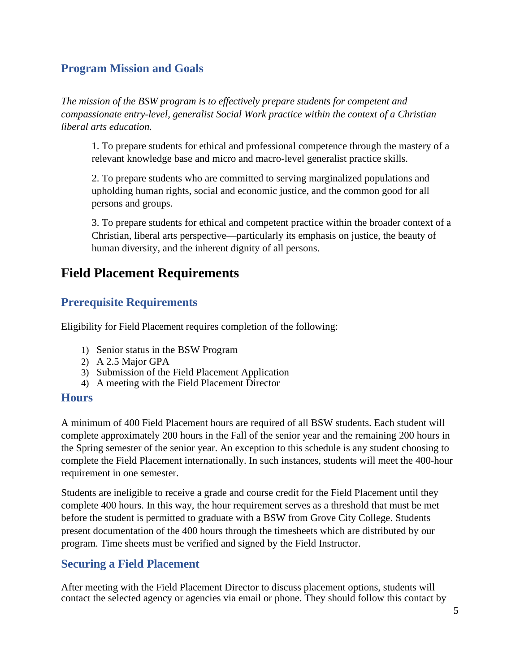## <span id="page-4-0"></span>**Program Mission and Goals**

*The mission of the BSW program is to effectively prepare students for competent and compassionate entry-level, generalist Social Work practice within the context of a Christian liberal arts education.* 

1. To prepare students for ethical and professional competence through the mastery of a relevant knowledge base and micro and macro-level generalist practice skills.

2. To prepare students who are committed to serving marginalized populations and upholding human rights, social and economic justice, and the common good for all persons and groups.

3. To prepare students for ethical and competent practice within the broader context of a Christian, liberal arts perspective—particularly its emphasis on justice, the beauty of human diversity, and the inherent dignity of all persons.

# <span id="page-4-1"></span>**Field Placement Requirements**

## <span id="page-4-2"></span>**Prerequisite Requirements**

Eligibility for Field Placement requires completion of the following:

- 1) Senior status in the BSW Program
- 2) A 2.5 Major GPA
- 3) Submission of the Field Placement Application
- 4) A meeting with the Field Placement Director

## <span id="page-4-3"></span>**Hours**

A minimum of 400 Field Placement hours are required of all BSW students. Each student will complete approximately 200 hours in the Fall of the senior year and the remaining 200 hours in the Spring semester of the senior year. An exception to this schedule is any student choosing to complete the Field Placement internationally. In such instances, students will meet the 400-hour requirement in one semester.

Students are ineligible to receive a grade and course credit for the Field Placement until they complete 400 hours. In this way, the hour requirement serves as a threshold that must be met before the student is permitted to graduate with a BSW from Grove City College. Students present documentation of the 400 hours through the timesheets which are distributed by our program. Time sheets must be verified and signed by the Field Instructor.

## <span id="page-4-4"></span>**Securing a Field Placement**

After meeting with the Field Placement Director to discuss placement options, students will contact the selected agency or agencies via email or phone. They should follow this contact by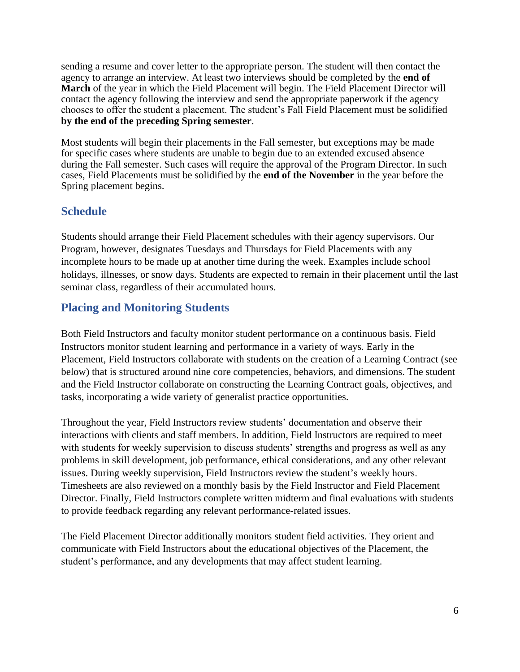sending a resume and cover letter to the appropriate person. The student will then contact the agency to arrange an interview. At least two interviews should be completed by the **end of March** of the year in which the Field Placement will begin. The Field Placement Director will contact the agency following the interview and send the appropriate paperwork if the agency chooses to offer the student a placement. The student's Fall Field Placement must be solidified **by the end of the preceding Spring semester**.

Most students will begin their placements in the Fall semester, but exceptions may be made for specific cases where students are unable to begin due to an extended excused absence during the Fall semester. Such cases will require the approval of the Program Director. In such cases, Field Placements must be solidified by the **end of the November** in the year before the Spring placement begins.

## <span id="page-5-0"></span>**Schedule**

Students should arrange their Field Placement schedules with their agency supervisors. Our Program, however, designates Tuesdays and Thursdays for Field Placements with any incomplete hours to be made up at another time during the week. Examples include school holidays, illnesses, or snow days. Students are expected to remain in their placement until the last seminar class, regardless of their accumulated hours.

## <span id="page-5-1"></span>**Placing and Monitoring Students**

Both Field Instructors and faculty monitor student performance on a continuous basis. Field Instructors monitor student learning and performance in a variety of ways. Early in the Placement, Field Instructors collaborate with students on the creation of a Learning Contract (see below) that is structured around nine core competencies, behaviors, and dimensions. The student and the Field Instructor collaborate on constructing the Learning Contract goals, objectives, and tasks, incorporating a wide variety of generalist practice opportunities.

Throughout the year, Field Instructors review students' documentation and observe their interactions with clients and staff members. In addition, Field Instructors are required to meet with students for weekly supervision to discuss students' strengths and progress as well as any problems in skill development, job performance, ethical considerations, and any other relevant issues. During weekly supervision, Field Instructors review the student's weekly hours. Timesheets are also reviewed on a monthly basis by the Field Instructor and Field Placement Director. Finally, Field Instructors complete written midterm and final evaluations with students to provide feedback regarding any relevant performance-related issues.

The Field Placement Director additionally monitors student field activities. They orient and communicate with Field Instructors about the educational objectives of the Placement, the student's performance, and any developments that may affect student learning.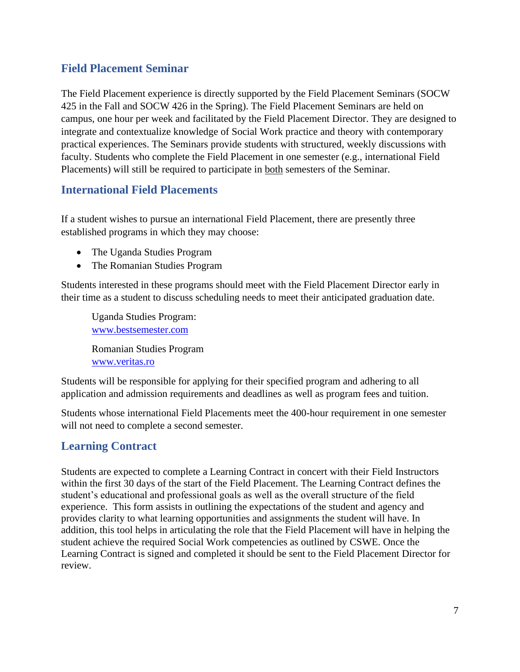## <span id="page-6-0"></span>**Field Placement Seminar**

The Field Placement experience is directly supported by the Field Placement Seminars (SOCW 425 in the Fall and SOCW 426 in the Spring). The Field Placement Seminars are held on campus, one hour per week and facilitated by the Field Placement Director. They are designed to integrate and contextualize knowledge of Social Work practice and theory with contemporary practical experiences. The Seminars provide students with structured, weekly discussions with faculty. Students who complete the Field Placement in one semester (e.g., international Field Placements) will still be required to participate in both semesters of the Seminar.

## <span id="page-6-1"></span>**International Field Placements**

If a student wishes to pursue an international Field Placement, there are presently three established programs in which they may choose:

- The Uganda Studies Program
- The Romanian Studies Program

Students interested in these programs should meet with the Field Placement Director early in their time as a student to discuss scheduling needs to meet their anticipated graduation date.

Uganda Studies Program: [www.bestsemester.com](http://www.bestsemester.com/) Romanian Studies Program [www.veritas.ro](http://www.veritas.ro/)

Students will be responsible for applying for their specified program and adhering to all application and admission requirements and deadlines as well as program fees and tuition.

Students whose international Field Placements meet the 400-hour requirement in one semester will not need to complete a second semester.

## <span id="page-6-2"></span>**Learning Contract**

Students are expected to complete a Learning Contract in concert with their Field Instructors within the first 30 days of the start of the Field Placement. The Learning Contract defines the student's educational and professional goals as well as the overall structure of the field experience. This form assists in outlining the expectations of the student and agency and provides clarity to what learning opportunities and assignments the student will have. In addition, this tool helps in articulating the role that the Field Placement will have in helping the student achieve the required Social Work competencies as outlined by CSWE. Once the Learning Contract is signed and completed it should be sent to the Field Placement Director for review.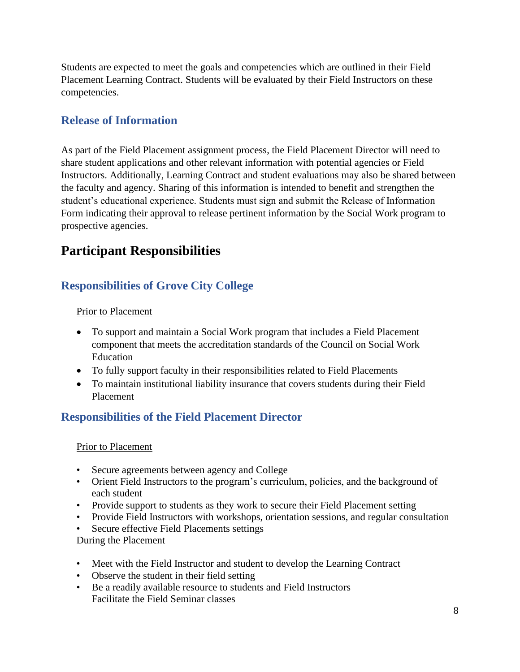Students are expected to meet the goals and competencies which are outlined in their Field Placement Learning Contract. Students will be evaluated by their Field Instructors on these competencies.

## <span id="page-7-0"></span>**Release of Information**

As part of the Field Placement assignment process, the Field Placement Director will need to share student applications and other relevant information with potential agencies or Field Instructors. Additionally, Learning Contract and student evaluations may also be shared between the faculty and agency. Sharing of this information is intended to benefit and strengthen the student's educational experience. Students must sign and submit the Release of Information Form indicating their approval to release pertinent information by the Social Work program to prospective agencies.

# <span id="page-7-1"></span>**Participant Responsibilities**

## <span id="page-7-2"></span>**Responsibilities of Grove City College**

### Prior to Placement

- To support and maintain a Social Work program that includes a Field Placement component that meets the accreditation standards of the Council on Social Work Education
- To fully support faculty in their responsibilities related to Field Placements
- To maintain institutional liability insurance that covers students during their Field Placement

## <span id="page-7-3"></span>**Responsibilities of the Field Placement Director**

### Prior to Placement

- Secure agreements between agency and College
- Orient Field Instructors to the program's curriculum, policies, and the background of each student
- Provide support to students as they work to secure their Field Placement setting
- Provide Field Instructors with workshops, orientation sessions, and regular consultation
- Secure effective Field Placements settings
- During the Placement
- Meet with the Field Instructor and student to develop the Learning Contract
- Observe the student in their field setting
- Be a readily available resource to students and Field Instructors Facilitate the Field Seminar classes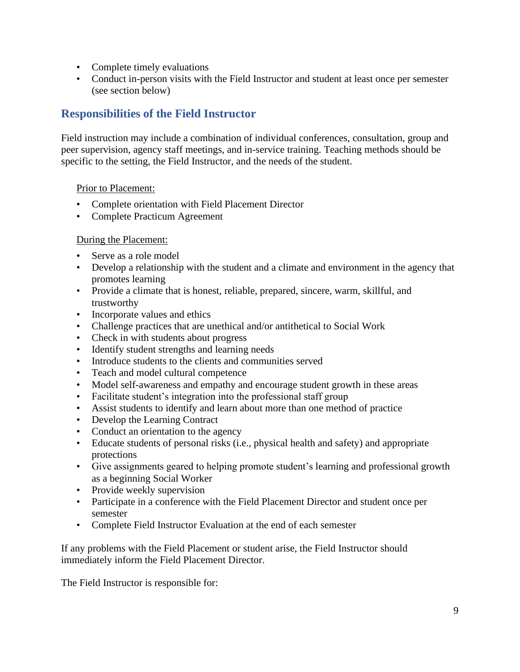- Complete timely evaluations
- Conduct in-person visits with the Field Instructor and student at least once per semester (see section below)

## <span id="page-8-0"></span>**Responsibilities of the Field Instructor**

Field instruction may include a combination of individual conferences, consultation, group and peer supervision, agency staff meetings, and in-service training. Teaching methods should be specific to the setting, the Field Instructor, and the needs of the student.

### Prior to Placement:

- Complete orientation with Field Placement Director
- Complete Practicum Agreement

### During the Placement:

- Serve as a role model
- Develop a relationship with the student and a climate and environment in the agency that promotes learning
- Provide a climate that is honest, reliable, prepared, sincere, warm, skillful, and trustworthy
- Incorporate values and ethics
- Challenge practices that are unethical and/or antithetical to Social Work
- Check in with students about progress
- Identify student strengths and learning needs
- Introduce students to the clients and communities served
- Teach and model cultural competence
- Model self-awareness and empathy and encourage student growth in these areas
- Facilitate student's integration into the professional staff group
- Assist students to identify and learn about more than one method of practice
- Develop the Learning Contract
- Conduct an orientation to the agency
- Educate students of personal risks (i.e., physical health and safety) and appropriate protections
- Give assignments geared to helping promote student's learning and professional growth as a beginning Social Worker
- Provide weekly supervision
- Participate in a conference with the Field Placement Director and student once per semester
- Complete Field Instructor Evaluation at the end of each semester

If any problems with the Field Placement or student arise, the Field Instructor should immediately inform the Field Placement Director.

The Field Instructor is responsible for: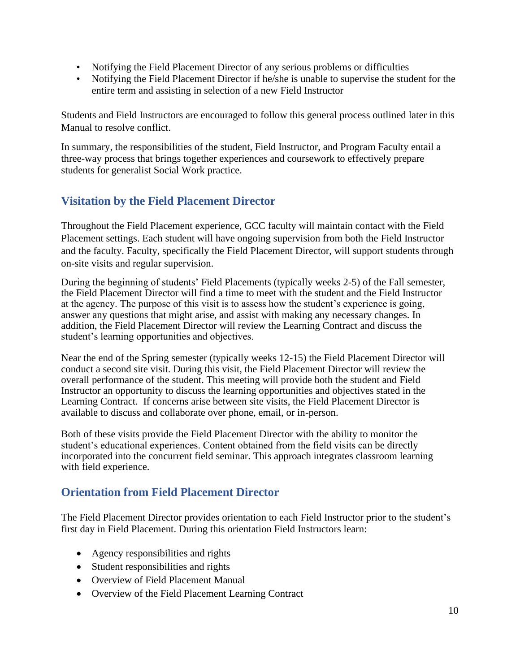- Notifying the Field Placement Director of any serious problems or difficulties
- Notifying the Field Placement Director if he/she is unable to supervise the student for the entire term and assisting in selection of a new Field Instructor

Students and Field Instructors are encouraged to follow this general process outlined later in this Manual to resolve conflict.

In summary, the responsibilities of the student, Field Instructor, and Program Faculty entail a three-way process that brings together experiences and coursework to effectively prepare students for generalist Social Work practice.

## <span id="page-9-0"></span>**Visitation by the Field Placement Director**

Throughout the Field Placement experience, GCC faculty will maintain contact with the Field Placement settings. Each student will have ongoing supervision from both the Field Instructor and the faculty. Faculty, specifically the Field Placement Director, will support students through on-site visits and regular supervision.

During the beginning of students' Field Placements (typically weeks 2-5) of the Fall semester, the Field Placement Director will find a time to meet with the student and the Field Instructor at the agency. The purpose of this visit is to assess how the student's experience is going, answer any questions that might arise, and assist with making any necessary changes. In addition, the Field Placement Director will review the Learning Contract and discuss the student's learning opportunities and objectives.

Near the end of the Spring semester (typically weeks 12-15) the Field Placement Director will conduct a second site visit. During this visit, the Field Placement Director will review the overall performance of the student. This meeting will provide both the student and Field Instructor an opportunity to discuss the learning opportunities and objectives stated in the Learning Contract. If concerns arise between site visits, the Field Placement Director is available to discuss and collaborate over phone, email, or in-person.

Both of these visits provide the Field Placement Director with the ability to monitor the student's educational experiences. Content obtained from the field visits can be directly incorporated into the concurrent field seminar. This approach integrates classroom learning with field experience.

## <span id="page-9-1"></span>**Orientation from Field Placement Director**

The Field Placement Director provides orientation to each Field Instructor prior to the student's first day in Field Placement. During this orientation Field Instructors learn:

- Agency responsibilities and rights
- Student responsibilities and rights
- Overview of Field Placement Manual
- Overview of the Field Placement Learning Contract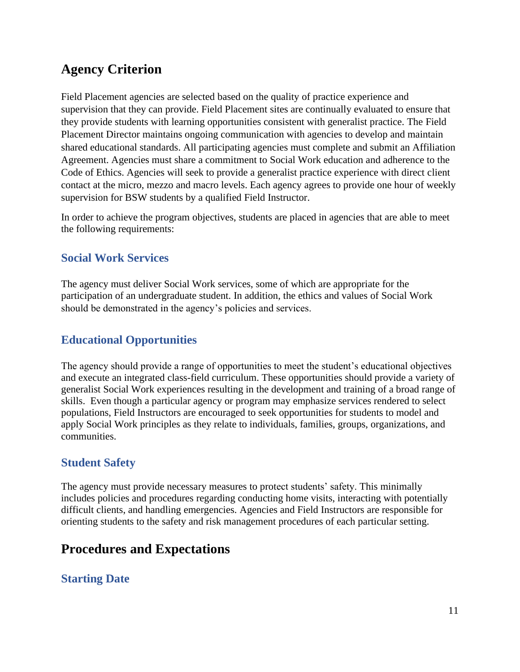# <span id="page-10-0"></span>**Agency Criterion**

Field Placement agencies are selected based on the quality of practice experience and supervision that they can provide. Field Placement sites are continually evaluated to ensure that they provide students with learning opportunities consistent with generalist practice. The Field Placement Director maintains ongoing communication with agencies to develop and maintain shared educational standards. All participating agencies must complete and submit an Affiliation Agreement. Agencies must share a commitment to Social Work education and adherence to the Code of Ethics. Agencies will seek to provide a generalist practice experience with direct client contact at the micro, mezzo and macro levels. Each agency agrees to provide one hour of weekly supervision for BSW students by a qualified Field Instructor.

In order to achieve the program objectives, students are placed in agencies that are able to meet the following requirements:

## <span id="page-10-1"></span>**Social Work Services**

The agency must deliver Social Work services, some of which are appropriate for the participation of an undergraduate student. In addition, the ethics and values of Social Work should be demonstrated in the agency's policies and services.

## <span id="page-10-2"></span>**Educational Opportunities**

The agency should provide a range of opportunities to meet the student's educational objectives and execute an integrated class-field curriculum. These opportunities should provide a variety of generalist Social Work experiences resulting in the development and training of a broad range of skills. Even though a particular agency or program may emphasize services rendered to select populations, Field Instructors are encouraged to seek opportunities for students to model and apply Social Work principles as they relate to individuals, families, groups, organizations, and communities.

## <span id="page-10-3"></span>**Student Safety**

The agency must provide necessary measures to protect students' safety. This minimally includes policies and procedures regarding conducting home visits, interacting with potentially difficult clients, and handling emergencies. Agencies and Field Instructors are responsible for orienting students to the safety and risk management procedures of each particular setting.

## <span id="page-10-4"></span>**Procedures and Expectations**

## <span id="page-10-5"></span>**Starting Date**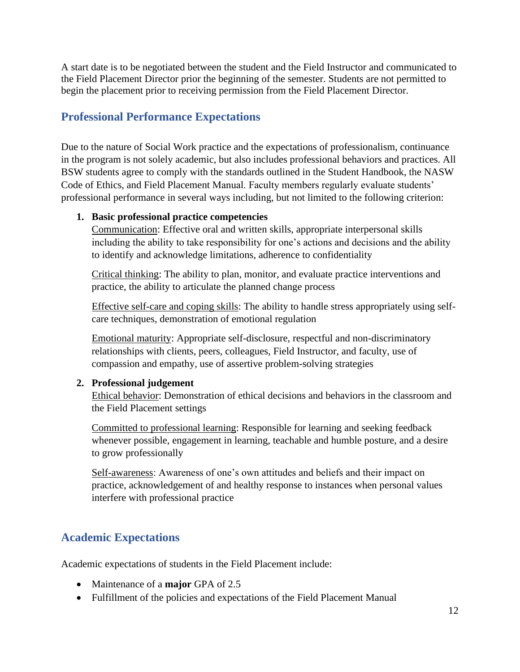A start date is to be negotiated between the student and the Field Instructor and communicated to the Field Placement Director prior the beginning of the semester. Students are not permitted to begin the placement prior to receiving permission from the Field Placement Director.

## <span id="page-11-0"></span>**Professional Performance Expectations**

Due to the nature of Social Work practice and the expectations of professionalism, continuance in the program is not solely academic, but also includes professional behaviors and practices. All BSW students agree to comply with the standards outlined in the Student Handbook, the NASW Code of Ethics, and Field Placement Manual. Faculty members regularly evaluate students' professional performance in several ways including, but not limited to the following criterion:

### **1. Basic professional practice competencies**

Communication: Effective oral and written skills, appropriate interpersonal skills including the ability to take responsibility for one's actions and decisions and the ability to identify and acknowledge limitations, adherence to confidentiality

Critical thinking: The ability to plan, monitor, and evaluate practice interventions and practice, the ability to articulate the planned change process

Effective self-care and coping skills: The ability to handle stress appropriately using selfcare techniques, demonstration of emotional regulation

Emotional maturity: Appropriate self-disclosure, respectful and non-discriminatory relationships with clients, peers, colleagues, Field Instructor, and faculty, use of compassion and empathy, use of assertive problem-solving strategies

### **2. Professional judgement**

Ethical behavior: Demonstration of ethical decisions and behaviors in the classroom and the Field Placement settings

Committed to professional learning: Responsible for learning and seeking feedback whenever possible, engagement in learning, teachable and humble posture, and a desire to grow professionally

Self-awareness: Awareness of one's own attitudes and beliefs and their impact on practice, acknowledgement of and healthy response to instances when personal values interfere with professional practice

## <span id="page-11-1"></span>**Academic Expectations**

Academic expectations of students in the Field Placement include:

- Maintenance of a **major** GPA of 2.5
- Fulfillment of the policies and expectations of the Field Placement Manual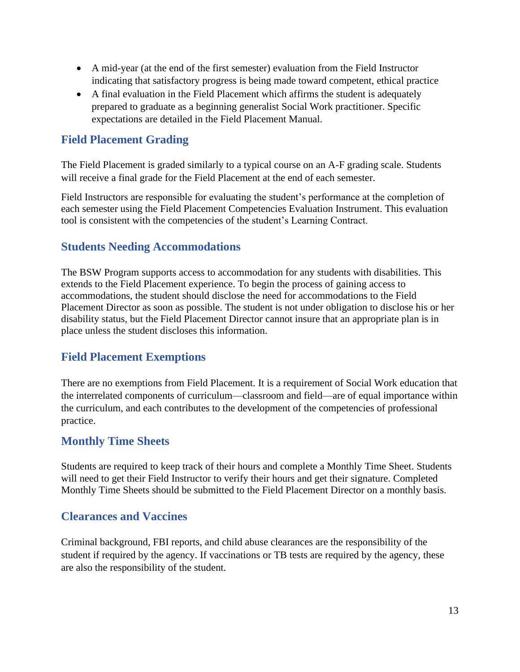- A mid-year (at the end of the first semester) evaluation from the Field Instructor indicating that satisfactory progress is being made toward competent, ethical practice
- A final evaluation in the Field Placement which affirms the student is adequately prepared to graduate as a beginning generalist Social Work practitioner. Specific expectations are detailed in the Field Placement Manual.

### <span id="page-12-0"></span>**Field Placement Grading**

The Field Placement is graded similarly to a typical course on an A-F grading scale. Students will receive a final grade for the Field Placement at the end of each semester.

Field Instructors are responsible for evaluating the student's performance at the completion of each semester using the Field Placement Competencies Evaluation Instrument. This evaluation tool is consistent with the competencies of the student's Learning Contract.

## <span id="page-12-1"></span>**Students Needing Accommodations**

The BSW Program supports access to accommodation for any students with disabilities. This extends to the Field Placement experience. To begin the process of gaining access to accommodations, the student should disclose the need for accommodations to the Field Placement Director as soon as possible. The student is not under obligation to disclose his or her disability status, but the Field Placement Director cannot insure that an appropriate plan is in place unless the student discloses this information.

### <span id="page-12-2"></span>**Field Placement Exemptions**

There are no exemptions from Field Placement. It is a requirement of Social Work education that the interrelated components of curriculum—classroom and field—are of equal importance within the curriculum, and each contributes to the development of the competencies of professional practice.

### <span id="page-12-3"></span>**Monthly Time Sheets**

Students are required to keep track of their hours and complete a Monthly Time Sheet. Students will need to get their Field Instructor to verify their hours and get their signature. Completed Monthly Time Sheets should be submitted to the Field Placement Director on a monthly basis.

### <span id="page-12-4"></span>**Clearances and Vaccines**

Criminal background, FBI reports, and child abuse clearances are the responsibility of the student if required by the agency. If vaccinations or TB tests are required by the agency, these are also the responsibility of the student.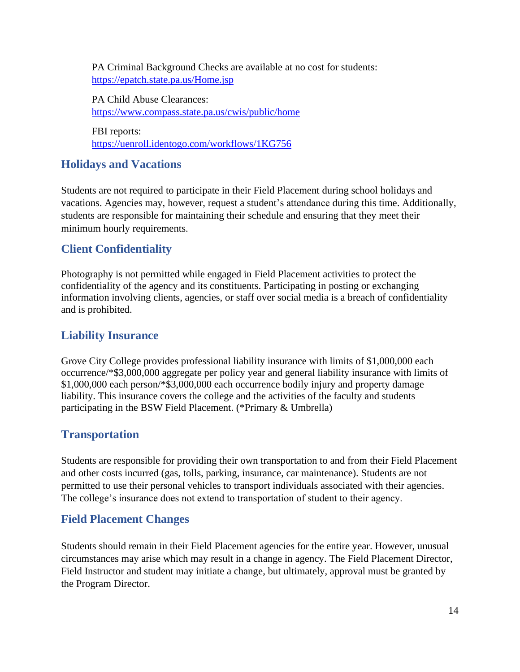PA Criminal Background Checks are available at no cost for students: <https://epatch.state.pa.us/Home.jsp>

PA Child Abuse Clearances: <https://www.compass.state.pa.us/cwis/public/home>

FBI reports: <https://uenroll.identogo.com/workflows/1KG756>

## <span id="page-13-0"></span>**Holidays and Vacations**

Students are not required to participate in their Field Placement during school holidays and vacations. Agencies may, however, request a student's attendance during this time. Additionally, students are responsible for maintaining their schedule and ensuring that they meet their minimum hourly requirements.

## <span id="page-13-1"></span>**Client Confidentiality**

Photography is not permitted while engaged in Field Placement activities to protect the confidentiality of the agency and its constituents. Participating in posting or exchanging information involving clients, agencies, or staff over social media is a breach of confidentiality and is prohibited.

## <span id="page-13-2"></span>**Liability Insurance**

Grove City College provides professional liability insurance with limits of \$1,000,000 each occurrence/\*\$3,000,000 aggregate per policy year and general liability insurance with limits of \$1,000,000 each person/\*\$3,000,000 each occurrence bodily injury and property damage liability. This insurance covers the college and the activities of the faculty and students participating in the BSW Field Placement. (\*Primary & Umbrella)

## <span id="page-13-3"></span>**Transportation**

Students are responsible for providing their own transportation to and from their Field Placement and other costs incurred (gas, tolls, parking, insurance, car maintenance). Students are not permitted to use their personal vehicles to transport individuals associated with their agencies. The college's insurance does not extend to transportation of student to their agency.

## <span id="page-13-4"></span>**Field Placement Changes**

Students should remain in their Field Placement agencies for the entire year. However, unusual circumstances may arise which may result in a change in agency. The Field Placement Director, Field Instructor and student may initiate a change, but ultimately, approval must be granted by the Program Director.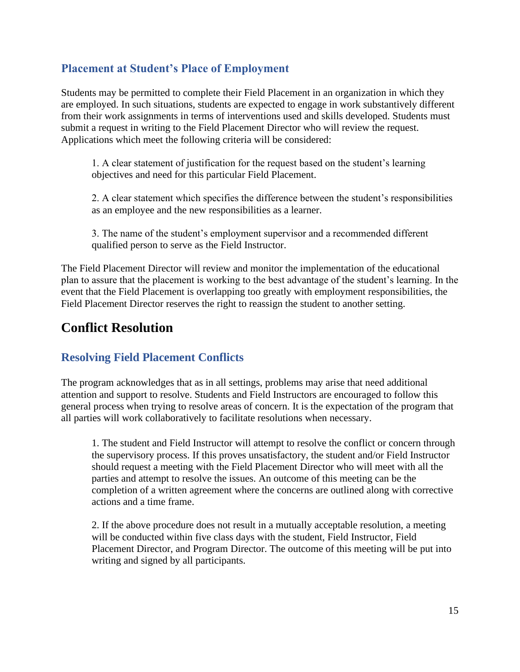## <span id="page-14-0"></span>**Placement at Student's Place of Employment**

Students may be permitted to complete their Field Placement in an organization in which they are employed. In such situations, students are expected to engage in work substantively different from their work assignments in terms of interventions used and skills developed. Students must submit a request in writing to the Field Placement Director who will review the request. Applications which meet the following criteria will be considered:

1. A clear statement of justification for the request based on the student's learning objectives and need for this particular Field Placement.

2. A clear statement which specifies the difference between the student's responsibilities as an employee and the new responsibilities as a learner.

3. The name of the student's employment supervisor and a recommended different qualified person to serve as the Field Instructor.

The Field Placement Director will review and monitor the implementation of the educational plan to assure that the placement is working to the best advantage of the student's learning. In the event that the Field Placement is overlapping too greatly with employment responsibilities, the Field Placement Director reserves the right to reassign the student to another setting.

## <span id="page-14-1"></span>**Conflict Resolution**

## <span id="page-14-2"></span>**Resolving Field Placement Conflicts**

The program acknowledges that as in all settings, problems may arise that need additional attention and support to resolve. Students and Field Instructors are encouraged to follow this general process when trying to resolve areas of concern. It is the expectation of the program that all parties will work collaboratively to facilitate resolutions when necessary.

1. The student and Field Instructor will attempt to resolve the conflict or concern through the supervisory process. If this proves unsatisfactory, the student and/or Field Instructor should request a meeting with the Field Placement Director who will meet with all the parties and attempt to resolve the issues. An outcome of this meeting can be the completion of a written agreement where the concerns are outlined along with corrective actions and a time frame.

2. If the above procedure does not result in a mutually acceptable resolution, a meeting will be conducted within five class days with the student, Field Instructor, Field Placement Director, and Program Director. The outcome of this meeting will be put into writing and signed by all participants.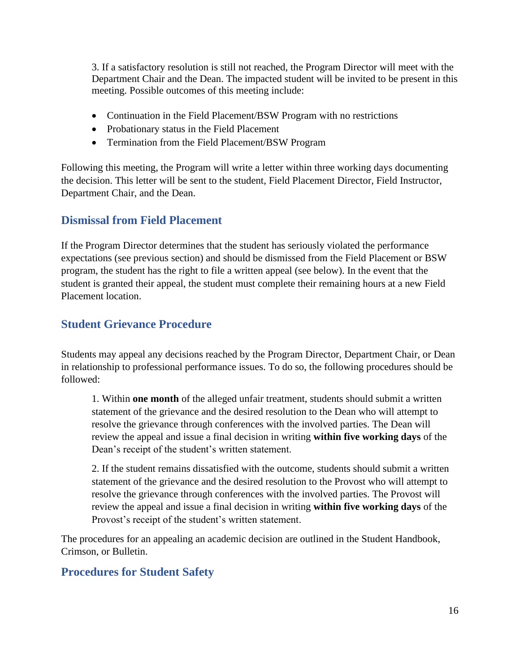3. If a satisfactory resolution is still not reached, the Program Director will meet with the Department Chair and the Dean. The impacted student will be invited to be present in this meeting. Possible outcomes of this meeting include:

- Continuation in the Field Placement/BSW Program with no restrictions
- Probationary status in the Field Placement
- Termination from the Field Placement/BSW Program

Following this meeting, the Program will write a letter within three working days documenting the decision. This letter will be sent to the student, Field Placement Director, Field Instructor, Department Chair, and the Dean.

## <span id="page-15-0"></span>**Dismissal from Field Placement**

If the Program Director determines that the student has seriously violated the performance expectations (see previous section) and should be dismissed from the Field Placement or BSW program, the student has the right to file a written appeal (see below). In the event that the student is granted their appeal, the student must complete their remaining hours at a new Field Placement location.

## <span id="page-15-1"></span>**Student Grievance Procedure**

Students may appeal any decisions reached by the Program Director, Department Chair, or Dean in relationship to professional performance issues. To do so, the following procedures should be followed:

1. Within **one month** of the alleged unfair treatment, students should submit a written statement of the grievance and the desired resolution to the Dean who will attempt to resolve the grievance through conferences with the involved parties. The Dean will review the appeal and issue a final decision in writing **within five working days** of the Dean's receipt of the student's written statement.

2. If the student remains dissatisfied with the outcome, students should submit a written statement of the grievance and the desired resolution to the Provost who will attempt to resolve the grievance through conferences with the involved parties. The Provost will review the appeal and issue a final decision in writing **within five working days** of the Provost's receipt of the student's written statement.

The procedures for an appealing an academic decision are outlined in the Student Handbook, Crimson, or Bulletin.

## <span id="page-15-2"></span>**Procedures for Student Safety**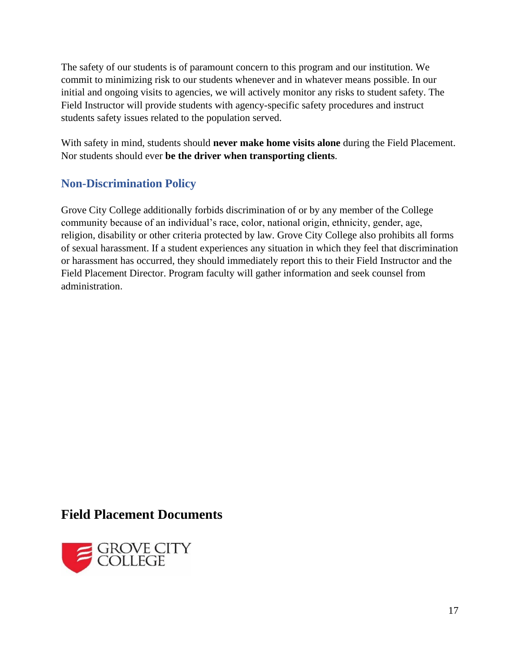The safety of our students is of paramount concern to this program and our institution. We commit to minimizing risk to our students whenever and in whatever means possible. In our initial and ongoing visits to agencies, we will actively monitor any risks to student safety. The Field Instructor will provide students with agency-specific safety procedures and instruct students safety issues related to the population served.

With safety in mind, students should **never make home visits alone** during the Field Placement. Nor students should ever **be the driver when transporting clients**.

## <span id="page-16-0"></span>**Non-Discrimination Policy**

Grove City College additionally forbids discrimination of or by any member of the College community because of an individual's race, color, national origin, ethnicity, gender, age, religion, disability or other criteria protected by law. Grove City College also prohibits all forms of sexual harassment. If a student experiences any situation in which they feel that discrimination or harassment has occurred, they should immediately report this to their Field Instructor and the Field Placement Director. Program faculty will gather information and seek counsel from administration.

## <span id="page-16-1"></span>**Field Placement Documents**

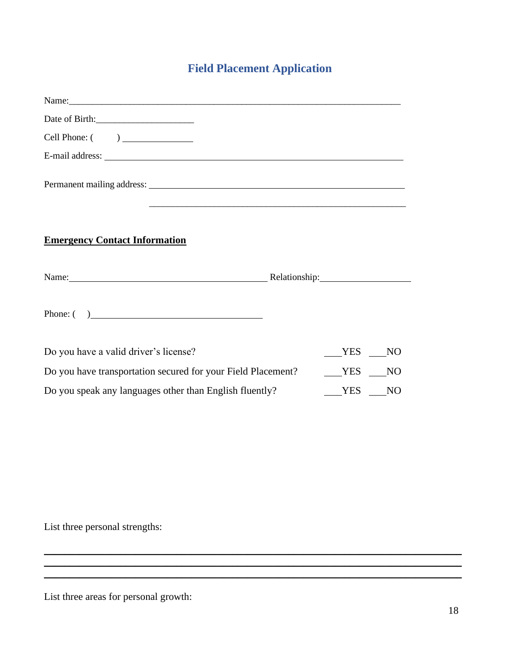# **Field Placement Application**

<span id="page-17-0"></span>

|                                                              | <u> 1989 - Johann Barn, mars and deutscher Stadt and deutscher Stadt and deutscher Stadt and deutscher Stadt and</u> |
|--------------------------------------------------------------|----------------------------------------------------------------------------------------------------------------------|
| <b>Emergency Contact Information</b>                         |                                                                                                                      |
| Name: Relationship:                                          |                                                                                                                      |
| Phone: $\left( \quad \right)$                                |                                                                                                                      |
| Do you have a valid driver's license?                        | <b>YES</b><br>N <sub>O</sub>                                                                                         |
| Do you have transportation secured for your Field Placement? | <b>YES</b><br>N <sub>O</sub>                                                                                         |
| Do you speak any languages other than English fluently?      | <b>YES</b><br>N <sub>O</sub>                                                                                         |

\_\_\_\_\_\_\_\_\_\_\_\_\_\_\_\_\_\_\_\_\_\_\_\_\_\_\_\_\_\_\_\_\_\_\_\_\_\_\_\_\_\_\_\_\_\_\_\_\_\_\_\_\_\_\_\_\_\_\_\_\_\_\_\_\_\_\_\_\_\_\_\_\_\_\_\_\_\_\_\_\_\_

\_\_\_\_\_\_\_\_\_\_\_\_\_\_\_\_\_\_\_\_\_\_\_\_\_\_\_\_\_\_\_\_\_\_\_\_\_\_\_\_\_\_\_\_\_\_\_\_\_\_\_\_\_\_\_\_\_\_\_\_\_\_\_\_\_\_\_\_\_\_\_\_\_\_\_\_\_\_\_\_\_\_

List three personal strengths:

List three areas for personal growth: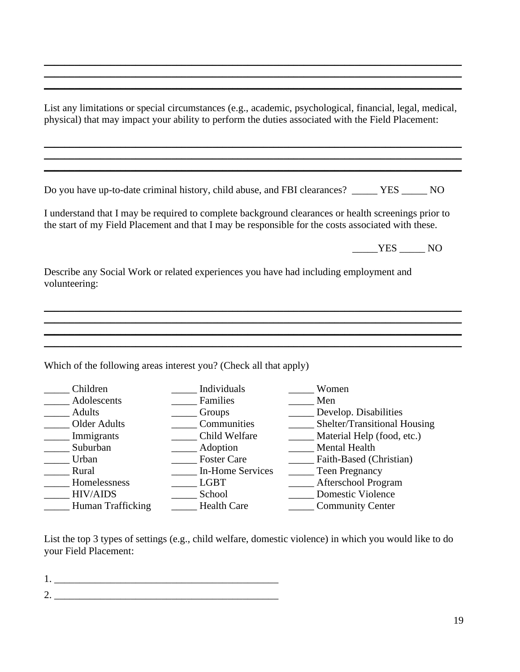List any limitations or special circumstances (e.g., academic, psychological, financial, legal, medical, physical) that may impact your ability to perform the duties associated with the Field Placement:

\_\_\_\_\_\_\_\_\_\_\_\_\_\_\_\_\_\_\_\_\_\_\_\_\_\_\_\_\_\_\_\_\_\_\_\_\_\_\_\_\_\_\_\_\_\_\_\_\_\_\_\_\_\_\_\_\_\_\_\_\_\_\_\_\_\_\_\_\_\_\_\_\_\_\_\_\_\_\_\_\_\_

\_\_\_\_\_\_\_\_\_\_\_\_\_\_\_\_\_\_\_\_\_\_\_\_\_\_\_\_\_\_\_\_\_\_\_\_\_\_\_\_\_\_\_\_\_\_\_\_\_\_\_\_\_\_\_\_\_\_\_\_\_\_\_\_\_\_\_\_\_\_\_\_\_\_\_\_\_\_\_\_\_\_

\_\_\_\_\_\_\_\_\_\_\_\_\_\_\_\_\_\_\_\_\_\_\_\_\_\_\_\_\_\_\_\_\_\_\_\_\_\_\_\_\_\_\_\_\_\_\_\_\_\_\_\_\_\_\_\_\_\_\_\_\_\_\_\_\_\_\_\_\_\_\_\_\_\_\_\_\_\_\_\_\_\_ \_\_\_\_\_\_\_\_\_\_\_\_\_\_\_\_\_\_\_\_\_\_\_\_\_\_\_\_\_\_\_\_\_\_\_\_\_\_\_\_\_\_\_\_\_\_\_\_\_\_\_\_\_\_\_\_\_\_\_\_\_\_\_\_\_\_\_\_\_\_\_\_\_\_\_\_\_\_\_\_\_\_

Do you have up-to-date criminal history, child abuse, and FBI clearances? \_\_\_\_\_ YES \_\_\_\_\_ NO

I understand that I may be required to complete background clearances or health screenings prior to the start of my Field Placement and that I may be responsible for the costs associated with these.

 $\_$  ,  $\_$  ,  $\_$  ,  $\_$  ,  $\_$  ,  $\_$  ,  $\_$  ,  $\_$  ,  $\_$  ,  $\_$  ,  $\_$  ,  $\_$  ,  $\_$  ,  $\_$  ,  $\_$  ,  $\_$  ,  $\_$  ,  $\_$  ,  $\_$  ,  $\_$  ,  $\_$  ,  $\_$  ,  $\_$  ,  $\_$  ,  $\_$  ,  $\_$  ,  $\_$  ,  $\_$  ,  $\_$  ,  $\_$  ,  $\_$  ,  $\_$  ,  $\_$  ,  $\_$  ,  $\_$  ,  $\_$  ,  $\_$  ,

\_\_\_\_\_\_\_\_\_\_\_\_\_\_\_\_\_\_\_\_\_\_\_\_\_\_\_\_\_\_\_\_\_\_\_\_\_\_\_\_\_\_\_\_\_\_\_\_\_\_\_\_\_\_\_\_\_\_\_\_\_\_\_\_\_\_\_\_\_\_\_\_\_\_\_\_\_\_\_\_\_\_  $\mathcal{L}_\mathcal{L} = \{ \mathcal{L}_\mathcal{L} = \{ \mathcal{L}_\mathcal{L} = \{ \mathcal{L}_\mathcal{L} = \{ \mathcal{L}_\mathcal{L} = \{ \mathcal{L}_\mathcal{L} = \{ \mathcal{L}_\mathcal{L} = \{ \mathcal{L}_\mathcal{L} = \{ \mathcal{L}_\mathcal{L} = \{ \mathcal{L}_\mathcal{L} = \{ \mathcal{L}_\mathcal{L} = \{ \mathcal{L}_\mathcal{L} = \{ \mathcal{L}_\mathcal{L} = \{ \mathcal{L}_\mathcal{L} = \{ \mathcal{L}_\mathcal{$  $\mathcal{L}_\mathcal{L} = \{ \mathcal{L}_\mathcal{L} = \{ \mathcal{L}_\mathcal{L} = \{ \mathcal{L}_\mathcal{L} = \{ \mathcal{L}_\mathcal{L} = \{ \mathcal{L}_\mathcal{L} = \{ \mathcal{L}_\mathcal{L} = \{ \mathcal{L}_\mathcal{L} = \{ \mathcal{L}_\mathcal{L} = \{ \mathcal{L}_\mathcal{L} = \{ \mathcal{L}_\mathcal{L} = \{ \mathcal{L}_\mathcal{L} = \{ \mathcal{L}_\mathcal{L} = \{ \mathcal{L}_\mathcal{L} = \{ \mathcal{L}_\mathcal{$ 

\_\_\_\_\_YES \_\_\_\_\_ NO

Describe any Social Work or related experiences you have had including employment and volunteering:

Which of the following areas interest you? (Check all that apply)

| Children            | Individuals        | Women                        |
|---------------------|--------------------|------------------------------|
| Adolescents         | Families           | Men                          |
| <b>Adults</b>       | Groups             | Develop. Disabilities        |
| <b>Older Adults</b> | Communities        | Shelter/Transitional Housing |
| Immigrants          | Child Welfare      | Material Help (food, etc.)   |
| Suburban            | Adoption           | <b>Mental Health</b>         |
| Urban               | <b>Foster Care</b> | Faith-Based (Christian)      |
| Rural               | In-Home Services   | <b>Teen Pregnancy</b>        |
| Homelessness        | <b>LGBT</b>        | Afterschool Program          |
| <b>HIV/AIDS</b>     | School             | <b>Domestic Violence</b>     |
| Human Trafficking   | <b>Health Care</b> | <b>Community Center</b>      |

List the top 3 types of settings (e.g., child welfare, domestic violence) in which you would like to do your Field Placement:

1. \_\_\_\_\_\_\_\_\_\_\_\_\_\_\_\_\_\_\_\_\_\_\_\_\_\_\_\_\_\_\_\_\_\_\_\_\_\_\_\_\_\_\_\_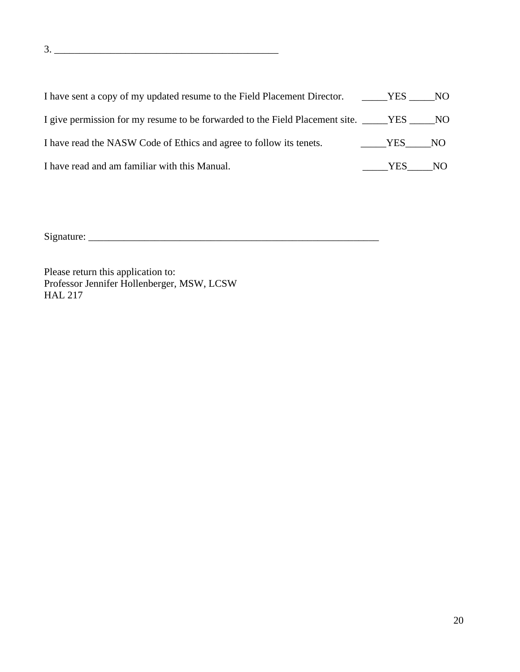| I have sent a copy of my updated resume to the Field Placement Director. The YES NO            |        |  |
|------------------------------------------------------------------------------------------------|--------|--|
| I give permission for my resume to be forwarded to the Field Placement site. ______YES______NO |        |  |
| I have read the NASW Code of Ethics and agree to follow its tenets. YES NO                     |        |  |
| I have read and am familiar with this Manual.                                                  | YES NO |  |

Signature: \_\_\_\_\_\_\_\_\_\_\_\_\_\_\_\_\_\_\_\_\_\_\_\_\_\_\_\_\_\_\_\_\_\_\_\_\_\_\_\_\_\_\_\_\_\_\_\_\_\_\_\_\_\_\_\_\_

Please return this application to: Professor Jennifer Hollenberger, MSW, LCSW HAL 217

3. \_\_\_\_\_\_\_\_\_\_\_\_\_\_\_\_\_\_\_\_\_\_\_\_\_\_\_\_\_\_\_\_\_\_\_\_\_\_\_\_\_\_\_\_

20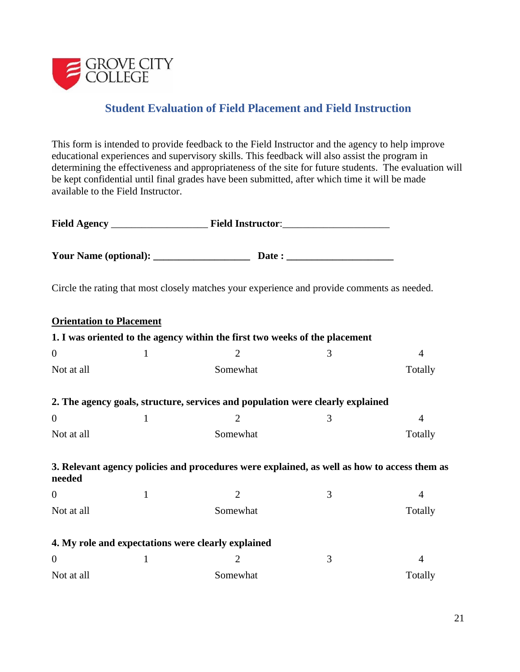

## **Student Evaluation of Field Placement and Field Instruction**

<span id="page-20-0"></span>This form is intended to provide feedback to the Field Instructor and the agency to help improve educational experiences and supervisory skills. This feedback will also assist the program in determining the effectiveness and appropriateness of the site for future students. The evaluation will be kept confidential until final grades have been submitted, after which time it will be made available to the Field Instructor.

|                                 |              | Circle the rating that most closely matches your experience and provide comments as needed. |   |                |
|---------------------------------|--------------|---------------------------------------------------------------------------------------------|---|----------------|
| <b>Orientation to Placement</b> |              |                                                                                             |   |                |
|                                 |              | 1. I was oriented to the agency within the first two weeks of the placement                 |   |                |
| $\overline{0}$                  | 1            | $\overline{2}$                                                                              | 3 | $\overline{4}$ |
| Not at all                      |              | Somewhat                                                                                    |   | Totally        |
|                                 |              | 2. The agency goals, structure, services and population were clearly explained              |   |                |
| $\overline{0}$                  | $\mathbf{1}$ | $\overline{2}$                                                                              | 3 | $\overline{4}$ |
| Not at all                      |              | Somewhat                                                                                    |   | Totally        |
| needed                          |              | 3. Relevant agency policies and procedures were explained, as well as how to access them as |   |                |
| $\overline{0}$                  | $\mathbf{1}$ | $\overline{2}$                                                                              | 3 | $\overline{4}$ |
| Not at all                      |              | Somewhat                                                                                    |   | Totally        |
|                                 |              | 4. My role and expectations were clearly explained                                          |   |                |
| $\overline{0}$                  | 1            | $\overline{2}$                                                                              | 3 | 4              |
| Not at all                      |              | Somewhat                                                                                    |   | Totally        |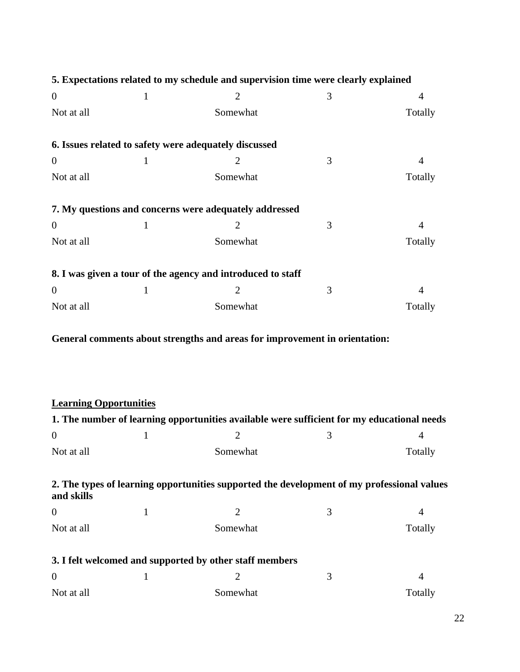|                               |              | 5. Expectations related to my schedule and supervision time were clearly explained         |   |                |
|-------------------------------|--------------|--------------------------------------------------------------------------------------------|---|----------------|
| $\overline{0}$                |              | $\overline{2}$                                                                             | 3 | $\overline{4}$ |
| Not at all                    |              | Somewhat                                                                                   |   | Totally        |
|                               |              | 6. Issues related to safety were adequately discussed                                      |   |                |
| $\theta$                      | 1            | 2                                                                                          | 3 | $\overline{4}$ |
| Not at all                    |              | Somewhat                                                                                   |   | Totally        |
|                               |              | 7. My questions and concerns were adequately addressed                                     |   |                |
| $\boldsymbol{0}$              | $\mathbf{1}$ | $\overline{2}$                                                                             | 3 | $\overline{4}$ |
| Not at all                    |              | Somewhat                                                                                   |   | Totally        |
|                               |              | 8. I was given a tour of the agency and introduced to staff                                |   |                |
| $\overline{0}$                |              | $\overline{2}$                                                                             | 3 | $\overline{4}$ |
| Not at all                    |              | Somewhat                                                                                   |   | Totally        |
|                               |              | General comments about strengths and areas for improvement in orientation:                 |   |                |
|                               |              |                                                                                            |   |                |
|                               |              |                                                                                            |   |                |
| <b>Learning Opportunities</b> |              |                                                                                            |   |                |
|                               |              | 1. The number of learning opportunities available were sufficient for my educational needs |   |                |
| $\overline{0}$                | $\mathbf 1$  | $\overline{2}$                                                                             | 3 | $\overline{4}$ |
| Not at all                    |              | Somewhat                                                                                   |   | Totally        |
| and skills                    |              | 2. The types of learning opportunities supported the development of my professional values |   |                |
| $\theta$                      | 1            | $\overline{2}$                                                                             | 3 | $\overline{4}$ |
| Not at all                    |              | Somewhat                                                                                   |   | Totally        |
|                               |              | 3. I felt welcomed and supported by other staff members                                    |   |                |
| $\theta$                      | $\mathbf{1}$ | $\overline{2}$                                                                             | 3 | 4              |
| Not at all                    |              | Somewhat                                                                                   |   | Totally        |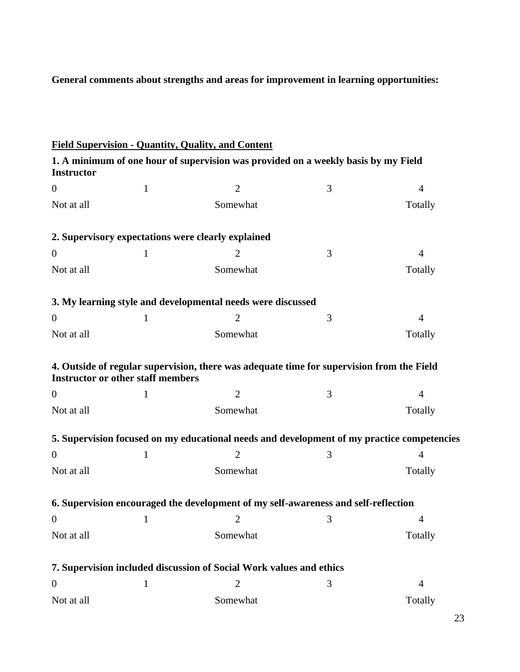### **General comments about strengths and areas for improvement in learning opportunities:**

## **Field Supervision - Quantity, Quality, and Content**

| <b>Instructor</b>                        |              | 1. A minimum of one hour of supervision was provided on a weekly basis by my Field         |   |                |
|------------------------------------------|--------------|--------------------------------------------------------------------------------------------|---|----------------|
| $\overline{0}$                           | $\mathbf{1}$ | $\overline{2}$                                                                             | 3 | $\overline{4}$ |
| Not at all                               |              | Somewhat                                                                                   |   | Totally        |
|                                          |              | 2. Supervisory expectations were clearly explained                                         |   |                |
| $\overline{0}$                           | 1            | $\overline{2}$                                                                             | 3 | $\overline{4}$ |
| Not at all                               |              | Somewhat                                                                                   |   | Totally        |
|                                          |              | 3. My learning style and developmental needs were discussed                                |   |                |
| $\overline{0}$                           | $\mathbf{1}$ | $\overline{2}$                                                                             | 3 | $\overline{4}$ |
| Not at all                               |              | Somewhat                                                                                   |   | Totally        |
| <b>Instructor or other staff members</b> |              | 4. Outside of regular supervision, there was adequate time for supervision from the Field  |   |                |
| $\overline{0}$                           | $\mathbf{1}$ | $\overline{2}$                                                                             | 3 | $\overline{4}$ |
| Not at all                               |              | Somewhat                                                                                   |   | Totally        |
|                                          |              | 5. Supervision focused on my educational needs and development of my practice competencies |   |                |
| $\boldsymbol{0}$                         | 1            | $\overline{2}$                                                                             | 3 | $\overline{4}$ |
| Not at all                               |              | Somewhat                                                                                   |   | Totally        |
|                                          |              | 6. Supervision encouraged the development of my self-awareness and self-reflection         |   |                |
| $\boldsymbol{0}$                         | $\mathbf{1}$ | $\overline{2}$                                                                             | 3 | $\overline{4}$ |
| Not at all                               |              | Somewhat                                                                                   |   | Totally        |
|                                          |              | 7. Supervision included discussion of Social Work values and ethics                        |   |                |

| $\boldsymbol{0}$ |          | ~ |         |
|------------------|----------|---|---------|
| Not at all       | Somewhat |   | Totally |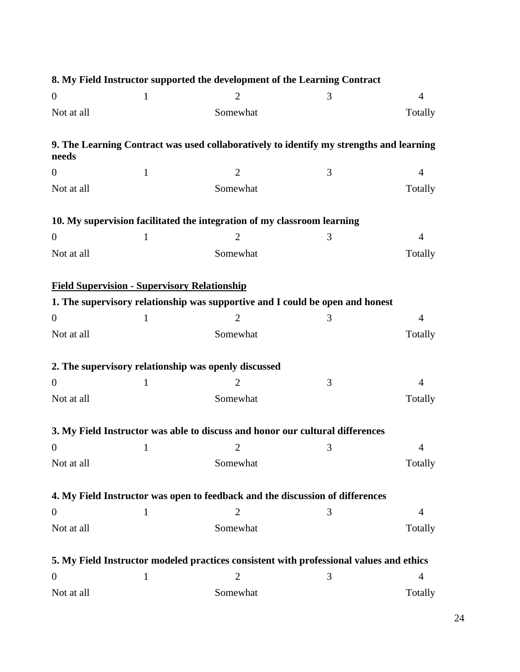|                  |              | 8. My Field Instructor supported the development of the Learning Contract               |   |                |
|------------------|--------------|-----------------------------------------------------------------------------------------|---|----------------|
| $\overline{0}$   | $\mathbf{1}$ | $\overline{2}$                                                                          | 3 | $\overline{4}$ |
| Not at all       |              | Somewhat                                                                                |   | Totally        |
| needs            |              | 9. The Learning Contract was used collaboratively to identify my strengths and learning |   |                |
| $\theta$         | 1            | $\overline{2}$                                                                          | 3 | 4              |
| Not at all       |              | Somewhat                                                                                |   | Totally        |
|                  |              | 10. My supervision facilitated the integration of my classroom learning                 |   |                |
| $\theta$         | $\mathbf{1}$ | $\overline{2}$                                                                          | 3 | $\overline{4}$ |
| Not at all       |              | Somewhat                                                                                |   | Totally        |
|                  |              | <b>Field Supervision - Supervisory Relationship</b>                                     |   |                |
|                  |              | 1. The supervisory relationship was supportive and I could be open and honest           |   |                |
| $\theta$         | $\mathbf{1}$ | $\overline{2}$                                                                          | 3 | $\overline{4}$ |
| Not at all       |              | Somewhat                                                                                |   | Totally        |
|                  |              | 2. The supervisory relationship was openly discussed                                    |   |                |
| $\theta$         | $\mathbf{1}$ | $\overline{2}$                                                                          | 3 | $\overline{4}$ |
| Not at all       |              | Somewhat                                                                                |   | Totally        |
|                  |              | 3. My Field Instructor was able to discuss and honor our cultural differences           |   |                |
| $\boldsymbol{0}$ | $\mathbf 1$  | $\overline{c}$                                                                          | 3 | 4              |
| Not at all       |              | Somewhat                                                                                |   | Totally        |
|                  |              | 4. My Field Instructor was open to feedback and the discussion of differences           |   |                |
| $\theta$         | 1            | 2                                                                                       | 3 | $\overline{4}$ |
| Not at all       |              | Somewhat                                                                                |   | Totally        |
|                  |              | 5. My Field Instructor modeled practices consistent with professional values and ethics |   |                |
| $\theta$         | $\mathbf{1}$ | $\overline{2}$                                                                          | 3 | 4              |
| Not at all       |              | Somewhat                                                                                |   | Totally        |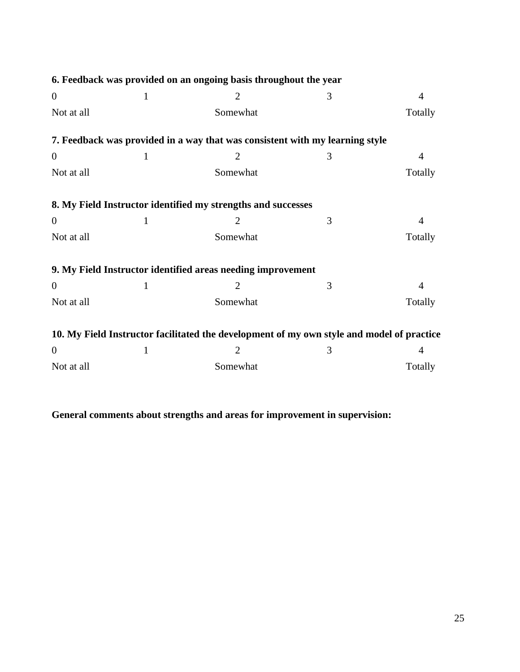|            |              | 6. Feedback was provided on an ongoing basis throughout the year                          |   |         |
|------------|--------------|-------------------------------------------------------------------------------------------|---|---------|
| $\theta$   | 1            | 2                                                                                         | 3 | 4       |
| Not at all |              | Somewhat                                                                                  |   | Totally |
|            |              | 7. Feedback was provided in a way that was consistent with my learning style              |   |         |
| $\theta$   | $\mathbf{1}$ | $\overline{2}$                                                                            | 3 | 4       |
| Not at all |              | Somewhat                                                                                  |   | Totally |
|            |              | 8. My Field Instructor identified my strengths and successes                              |   |         |
| $\theta$   | $\mathbf{1}$ | 2                                                                                         | 3 | 4       |
| Not at all |              | Somewhat                                                                                  |   | Totally |
|            |              | 9. My Field Instructor identified areas needing improvement                               |   |         |
| $\theta$   | $\mathbf{1}$ | $\overline{2}$                                                                            | 3 | 4       |
| Not at all |              | Somewhat                                                                                  |   | Totally |
|            |              | 10. My Field Instructor facilitated the development of my own style and model of practice |   |         |
| $\theta$   | $\mathbf{1}$ | $\overline{2}$                                                                            | 3 | 4       |
| Not at all |              | Somewhat                                                                                  |   | Totally |

**General comments about strengths and areas for improvement in supervision:**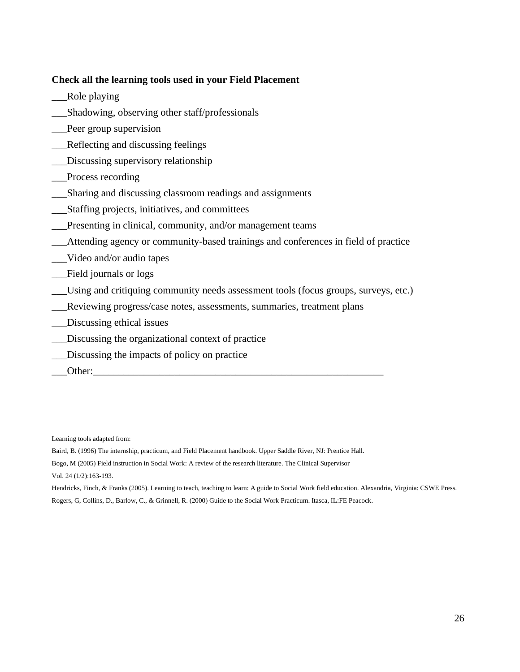### **Check all the learning tools used in your Field Placement**

- \_\_\_Role playing
- \_\_\_Shadowing, observing other staff/professionals
- \_\_Peer group supervision
- \_\_\_Reflecting and discussing feelings
- \_\_\_Discussing supervisory relationship
- \_\_\_Process recording
- \_\_\_Sharing and discussing classroom readings and assignments
- \_\_\_Staffing projects, initiatives, and committees
- \_\_\_Presenting in clinical, community, and/or management teams
- \_\_\_Attending agency or community-based trainings and conferences in field of practice
- \_\_\_Video and/or audio tapes
- \_\_\_Field journals or logs
- \_\_\_Using and critiquing community needs assessment tools (focus groups, surveys, etc.)
- \_\_\_Reviewing progress/case notes, assessments, summaries, treatment plans
- \_\_\_Discussing ethical issues
- \_\_\_Discussing the organizational context of practice
- \_\_\_Discussing the impacts of policy on practice
- Other:

Learning tools adapted from:

Bogo, M (2005) Field instruction in Social Work: A review of the research literature. The Clinical Supervisor

Vol. 24 (1/2):163-193.

Hendricks, Finch, & Franks (2005). Learning to teach, teaching to learn: A guide to Social Work field education. Alexandria, Virginia: CSWE Press. Rogers, G, Collins, D., Barlow, C., & Grinnell, R. (2000) Guide to the Social Work Practicum. Itasca, IL:FE Peacock.

Baird, B. (1996) The internship, practicum, and Field Placement handbook. Upper Saddle River, NJ: Prentice Hall.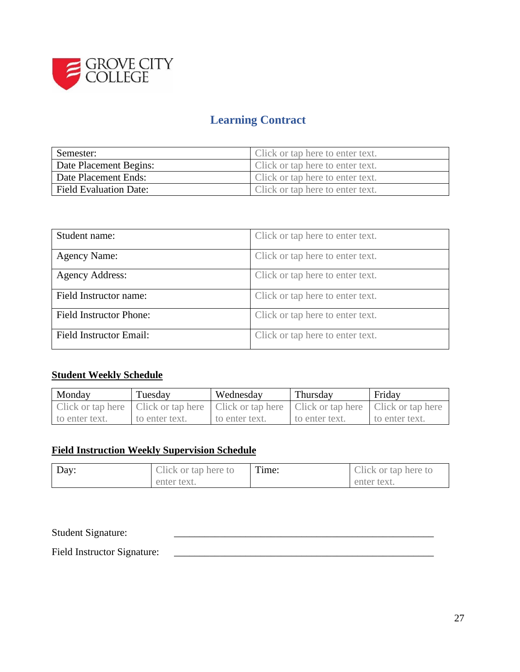

# **Learning Contract**

<span id="page-26-0"></span>

| Semester:                     | Click or tap here to enter text. |
|-------------------------------|----------------------------------|
| Date Placement Begins:        | Click or tap here to enter text. |
| Date Placement Ends:          | Click or tap here to enter text. |
| <b>Field Evaluation Date:</b> | Click or tap here to enter text. |

| Student name:                  | Click or tap here to enter text. |
|--------------------------------|----------------------------------|
| <b>Agency Name:</b>            | Click or tap here to enter text. |
| <b>Agency Address:</b>         | Click or tap here to enter text. |
| Field Instructor name:         | Click or tap here to enter text. |
| <b>Field Instructor Phone:</b> | Click or tap here to enter text. |
| <b>Field Instructor Email:</b> | Click or tap here to enter text. |

### **Student Weekly Schedule**

| Monday                                                                                            | Tuesday        | Wednesday      | Thursday       | Friday         |
|---------------------------------------------------------------------------------------------------|----------------|----------------|----------------|----------------|
| Click or tap here   Click or tap here   Click or tap here   Click or tap here   Click or tap here |                |                |                |                |
| to enter text.                                                                                    | to enter text. | to enter text. | to enter text. | to enter text. |

## **Field Instruction Weekly Supervision Schedule**

| Day: | Click or tap here to | Time: | Click or tap here to |
|------|----------------------|-------|----------------------|
|      | enter text.          |       | enter text.          |

Student Signature:

Field Instructor Signature: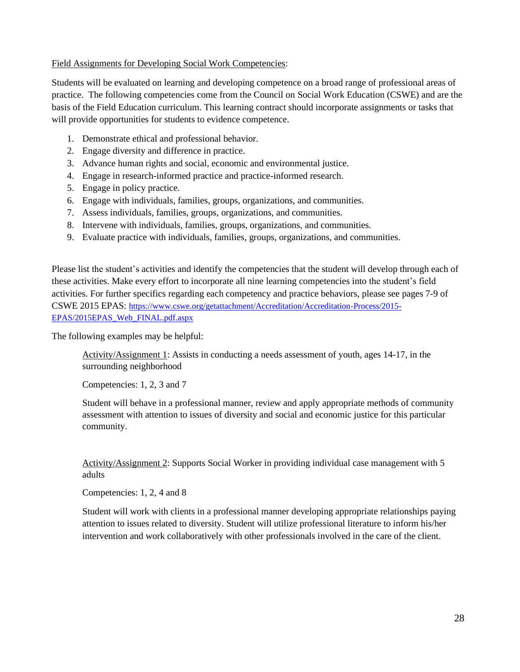### Field Assignments for Developing Social Work Competencies:

Students will be evaluated on learning and developing competence on a broad range of professional areas of practice. The following competencies come from the Council on Social Work Education (CSWE) and are the basis of the Field Education curriculum. This learning contract should incorporate assignments or tasks that will provide opportunities for students to evidence competence.

- 1. Demonstrate ethical and professional behavior.
- 2. Engage diversity and difference in practice.
- 3. Advance human rights and social, economic and environmental justice.
- 4. Engage in research-informed practice and practice-informed research.
- 5. Engage in policy practice.
- 6. Engage with individuals, families, groups, organizations, and communities.
- 7. Assess individuals, families, groups, organizations, and communities.
- 8. Intervene with individuals, families, groups, organizations, and communities.
- 9. Evaluate practice with individuals, families, groups, organizations, and communities.

Please list the student's activities and identify the competencies that the student will develop through each of these activities. Make every effort to incorporate all nine learning competencies into the student's field activities. For further specifics regarding each competency and practice behaviors, please see pages 7-9 of CSWE 2015 EPAS: [https://www.cswe.org/getattachment/Accreditation/Accreditation-Process/2015-](https://www.cswe.org/getattachment/Accreditation/Accreditation-Process/2015-EPAS/2015EPAS_Web_FINAL.pdf.aspx) [EPAS/2015EPAS\\_Web\\_FINAL.pdf.aspx](https://www.cswe.org/getattachment/Accreditation/Accreditation-Process/2015-EPAS/2015EPAS_Web_FINAL.pdf.aspx)

The following examples may be helpful:

Activity/Assignment 1: Assists in conducting a needs assessment of youth, ages 14-17, in the surrounding neighborhood

Competencies: 1, 2, 3 and 7

Student will behave in a professional manner, review and apply appropriate methods of community assessment with attention to issues of diversity and social and economic justice for this particular community.

Activity/Assignment 2: Supports Social Worker in providing individual case management with 5 adults

Competencies: 1, 2, 4 and 8

Student will work with clients in a professional manner developing appropriate relationships paying attention to issues related to diversity. Student will utilize professional literature to inform his/her intervention and work collaboratively with other professionals involved in the care of the client.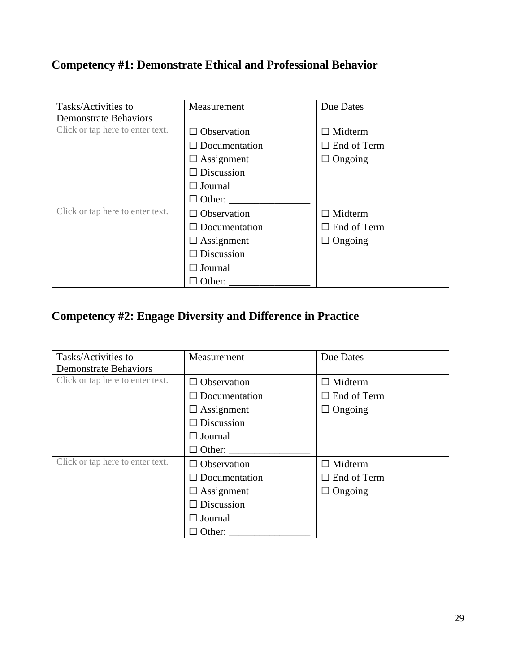# **Competency #1: Demonstrate Ethical and Professional Behavior**

| Tasks/Activities to              | Measurement          | Due Dates          |
|----------------------------------|----------------------|--------------------|
| <b>Demonstrate Behaviors</b>     |                      |                    |
| Click or tap here to enter text. | $\Box$ Observation   | $\Box$ Midterm     |
|                                  | $\Box$ Documentation | $\Box$ End of Term |
|                                  | $\Box$ Assignment    | $\Box$ Ongoing     |
|                                  | $\Box$ Discussion    |                    |
|                                  | $\Box$ Journal       |                    |
|                                  | $\Box$ Other:        |                    |
| Click or tap here to enter text. | $\Box$ Observation   | $\Box$ Midterm     |
|                                  | $\Box$ Documentation | $\Box$ End of Term |
|                                  | $\Box$ Assignment    | $\Box$ Ongoing     |
|                                  | $\Box$ Discussion    |                    |
|                                  | $\Box$ Journal       |                    |
|                                  | $\Box$ Other:        |                    |

# **Competency #2: Engage Diversity and Difference in Practice**

| Tasks/Activities to              | Measurement          | Due Dates          |
|----------------------------------|----------------------|--------------------|
| <b>Demonstrate Behaviors</b>     |                      |                    |
| Click or tap here to enter text. | $\Box$ Observation   | $\Box$ Midterm     |
|                                  | $\Box$ Documentation | $\Box$ End of Term |
|                                  | $\Box$ Assignment    | $\Box$ Ongoing     |
|                                  | $\Box$ Discussion    |                    |
|                                  | $\Box$ Journal       |                    |
|                                  | $\Box$ Other:        |                    |
| Click or tap here to enter text. | $\Box$ Observation   | $\Box$ Midterm     |
|                                  | $\Box$ Documentation | $\Box$ End of Term |
|                                  | $\Box$ Assignment    | $\Box$ Ongoing     |
|                                  | $\Box$ Discussion    |                    |
|                                  | $\Box$ Journal       |                    |
|                                  | $\Box$ Other:        |                    |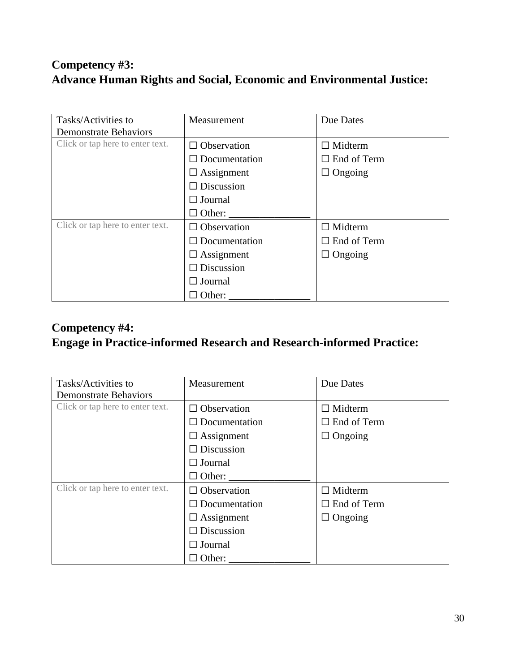## **Competency #3: Advance Human Rights and Social, Economic and Environmental Justice:**

| Tasks/Activities to              | Measurement          | Due Dates          |
|----------------------------------|----------------------|--------------------|
| <b>Demonstrate Behaviors</b>     |                      |                    |
| Click or tap here to enter text. | $\Box$ Observation   | $\Box$ Midterm     |
|                                  | $\Box$ Documentation | $\Box$ End of Term |
|                                  | $\Box$ Assignment    | $\Box$ Ongoing     |
|                                  | $\Box$ Discussion    |                    |
|                                  | $\Box$ Journal       |                    |
|                                  | $\Box$ Other:        |                    |
| Click or tap here to enter text. | $\Box$ Observation   | $\Box$ Midterm     |
|                                  | $\Box$ Documentation | $\Box$ End of Term |
|                                  | $\Box$ Assignment    | $\Box$ Ongoing     |
|                                  | $\Box$ Discussion    |                    |
|                                  | $\Box$ Journal       |                    |
|                                  | $\Box$ Other:        |                    |

## **Competency #4: Engage in Practice-informed Research and Research-informed Practice:**

| Tasks/Activities to              | Measurement          | Due Dates          |
|----------------------------------|----------------------|--------------------|
| <b>Demonstrate Behaviors</b>     |                      |                    |
| Click or tap here to enter text. | $\Box$ Observation   | $\Box$ Midterm     |
|                                  | $\Box$ Documentation | $\Box$ End of Term |
|                                  | $\Box$ Assignment    | $\Box$ Ongoing     |
|                                  | $\Box$ Discussion    |                    |
|                                  | $\Box$ Journal       |                    |
|                                  | $\Box$ Other:        |                    |
| Click or tap here to enter text. | $\Box$ Observation   | $\Box$ Midterm     |
|                                  | $\Box$ Documentation | $\Box$ End of Term |
|                                  | $\Box$ Assignment    | $\Box$ Ongoing     |
|                                  | $\Box$ Discussion    |                    |
|                                  | $\Box$ Journal       |                    |
|                                  | $\Box$ Other:        |                    |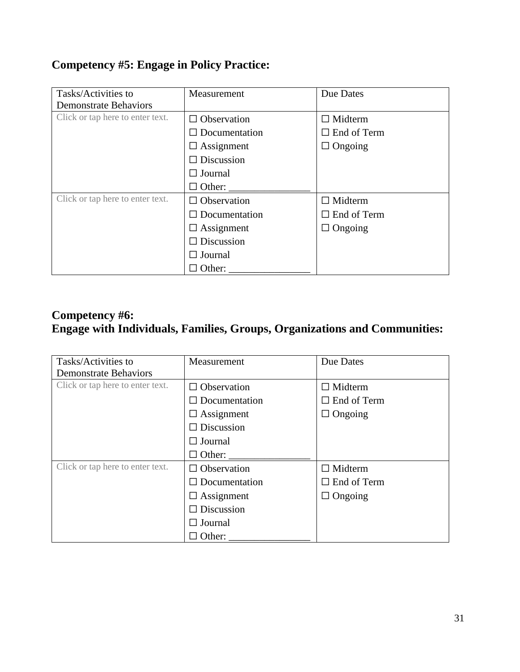# **Competency #5: Engage in Policy Practice:**

| Tasks/Activities to              | Measurement          | Due Dates          |
|----------------------------------|----------------------|--------------------|
| <b>Demonstrate Behaviors</b>     |                      |                    |
| Click or tap here to enter text. | $\Box$ Observation   | $\Box$ Midterm     |
|                                  | $\Box$ Documentation | End of Term<br>H   |
|                                  | $\Box$ Assignment    | $\Box$ Ongoing     |
|                                  | $\Box$ Discussion    |                    |
|                                  | $\Box$ Journal       |                    |
|                                  | $\Box$ Other:        |                    |
| Click or tap here to enter text. | $\Box$ Observation   | $\Box$ Midterm     |
|                                  | $\Box$ Documentation | $\Box$ End of Term |
|                                  | $\Box$ Assignment    | $\Box$ Ongoing     |
|                                  | $\Box$ Discussion    |                    |
|                                  | $\Box$ Journal       |                    |
|                                  | $\Box$ Other:        |                    |

## **Competency #6: Engage with Individuals, Families, Groups, Organizations and Communities:**

| Tasks/Activities to              | Measurement          | Due Dates          |
|----------------------------------|----------------------|--------------------|
| <b>Demonstrate Behaviors</b>     |                      |                    |
| Click or tap here to enter text. | $\Box$ Observation   | $\Box$ Midterm     |
|                                  | $\Box$ Documentation | $\Box$ End of Term |
|                                  | $\Box$ Assignment    | $\Box$ Ongoing     |
|                                  | $\Box$ Discussion    |                    |
|                                  | $\Box$ Journal       |                    |
|                                  | $\Box$ Other: $\_\_$ |                    |
| Click or tap here to enter text. | $\Box$ Observation   | $\Box$ Midterm     |
|                                  | $\Box$ Documentation | $\Box$ End of Term |
|                                  | $\Box$ Assignment    | $\Box$ Ongoing     |
|                                  | $\Box$ Discussion    |                    |
|                                  | $\Box$ Journal       |                    |
|                                  | $\Box$ Other:        |                    |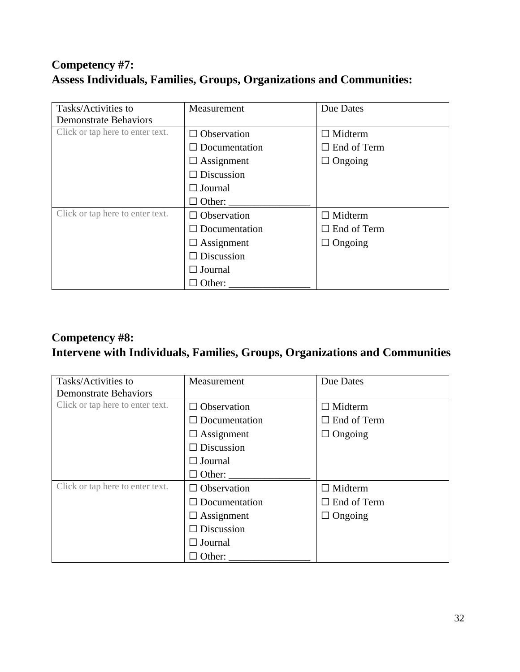## **Competency #7: Assess Individuals, Families, Groups, Organizations and Communities:**

| Tasks/Activities to              | Measurement          | Due Dates          |
|----------------------------------|----------------------|--------------------|
| <b>Demonstrate Behaviors</b>     |                      |                    |
| Click or tap here to enter text. | $\Box$ Observation   | $\Box$ Midterm     |
|                                  | $\Box$ Documentation | $\Box$ End of Term |
|                                  | $\Box$ Assignment    | $\Box$ Ongoing     |
|                                  | $\Box$ Discussion    |                    |
|                                  | $\Box$ Journal       |                    |
|                                  | $\Box$ Other:        |                    |
| Click or tap here to enter text. | $\Box$ Observation   | $\Box$ Midterm     |
|                                  | $\Box$ Documentation | $\Box$ End of Term |
|                                  | $\Box$ Assignment    | $\Box$ Ongoing     |
|                                  | $\Box$ Discussion    |                    |
|                                  | $\Box$ Journal       |                    |
|                                  | $\Box$ Other:        |                    |

## **Competency #8: Intervene with Individuals, Families, Groups, Organizations and Communities**

| Tasks/Activities to              | Measurement          | Due Dates          |
|----------------------------------|----------------------|--------------------|
| <b>Demonstrate Behaviors</b>     |                      |                    |
| Click or tap here to enter text. | $\Box$ Observation   | $\Box$ Midterm     |
|                                  | $\Box$ Documentation | $\Box$ End of Term |
|                                  | $\Box$ Assignment    | $\Box$ Ongoing     |
|                                  | $\Box$ Discussion    |                    |
|                                  | $\Box$ Journal       |                    |
|                                  | $\Box$ Other:        |                    |
| Click or tap here to enter text. | $\Box$ Observation   | $\Box$ Midterm     |
|                                  | $\Box$ Documentation | $\Box$ End of Term |
|                                  | $\Box$ Assignment    | $\Box$ Ongoing     |
|                                  | $\Box$ Discussion    |                    |
|                                  | $\Box$ Journal       |                    |
|                                  | $\Box$ Other:        |                    |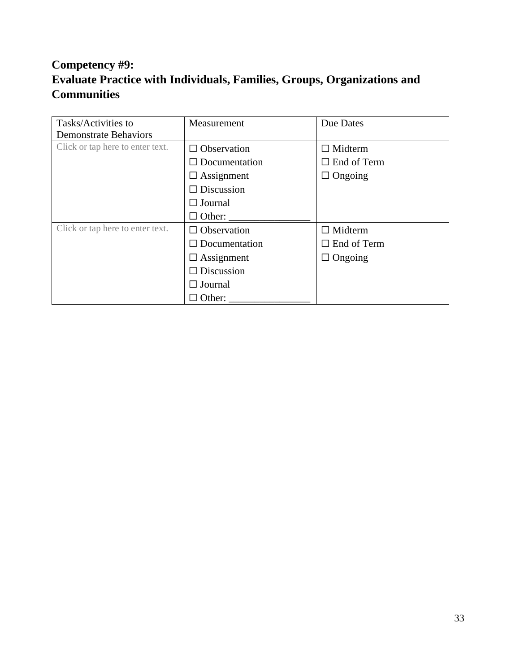## **Competency #9: Evaluate Practice with Individuals, Families, Groups, Organizations and Communities**

| Tasks/Activities to              | Measurement          | Due Dates          |
|----------------------------------|----------------------|--------------------|
| <b>Demonstrate Behaviors</b>     |                      |                    |
| Click or tap here to enter text. | $\Box$ Observation   | $\Box$ Midterm     |
|                                  | $\Box$ Documentation | $\Box$ End of Term |
|                                  | $\Box$ Assignment    | $\Box$ Ongoing     |
|                                  | $\Box$ Discussion    |                    |
|                                  | $\Box$ Journal       |                    |
|                                  | $\Box$ Other:        |                    |
| Click or tap here to enter text. | $\Box$ Observation   | $\Box$ Midterm     |
|                                  | $\Box$ Documentation | $\Box$ End of Term |
|                                  | $\Box$ Assignment    | $\Box$ Ongoing     |
|                                  | $\Box$ Discussion    |                    |
|                                  | $\Box$ Journal       |                    |
|                                  | $\Box$ Other:        |                    |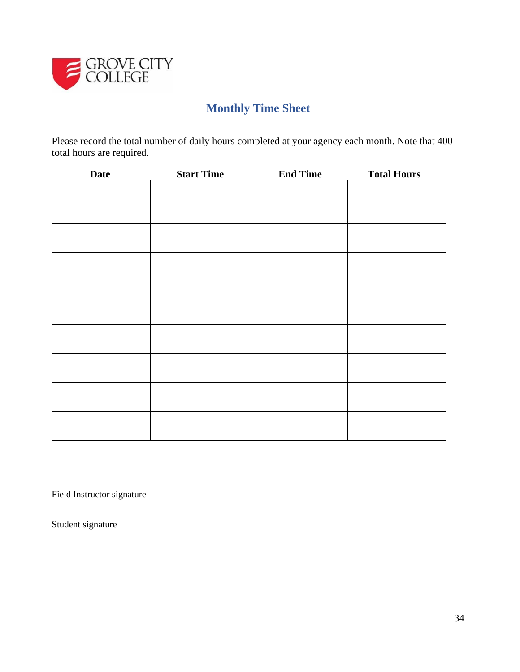

# **Monthly Time Sheet**

<span id="page-33-0"></span>Please record the total number of daily hours completed at your agency each month. Note that 400 total hours are required.

| <b>Date</b> | <b>Start Time</b> | <b>End Time</b> | <b>Total Hours</b> |  |  |  |  |
|-------------|-------------------|-----------------|--------------------|--|--|--|--|
|             |                   |                 |                    |  |  |  |  |
|             |                   |                 |                    |  |  |  |  |
|             |                   |                 |                    |  |  |  |  |
|             |                   |                 |                    |  |  |  |  |
|             |                   |                 |                    |  |  |  |  |
|             |                   |                 |                    |  |  |  |  |
|             |                   |                 |                    |  |  |  |  |
|             |                   |                 |                    |  |  |  |  |
|             |                   |                 |                    |  |  |  |  |
|             |                   |                 |                    |  |  |  |  |
|             |                   |                 |                    |  |  |  |  |
|             |                   |                 |                    |  |  |  |  |
|             |                   |                 |                    |  |  |  |  |
|             |                   |                 |                    |  |  |  |  |
|             |                   |                 |                    |  |  |  |  |
|             |                   |                 |                    |  |  |  |  |
|             |                   |                 |                    |  |  |  |  |
|             |                   |                 |                    |  |  |  |  |

Field Instructor signature

\_\_\_\_\_\_\_\_\_\_\_\_\_\_\_\_\_\_\_\_\_\_\_\_\_\_\_\_\_\_\_\_\_\_\_\_\_

\_\_\_\_\_\_\_\_\_\_\_\_\_\_\_\_\_\_\_\_\_\_\_\_\_\_\_\_\_\_\_\_\_\_\_\_\_

Student signature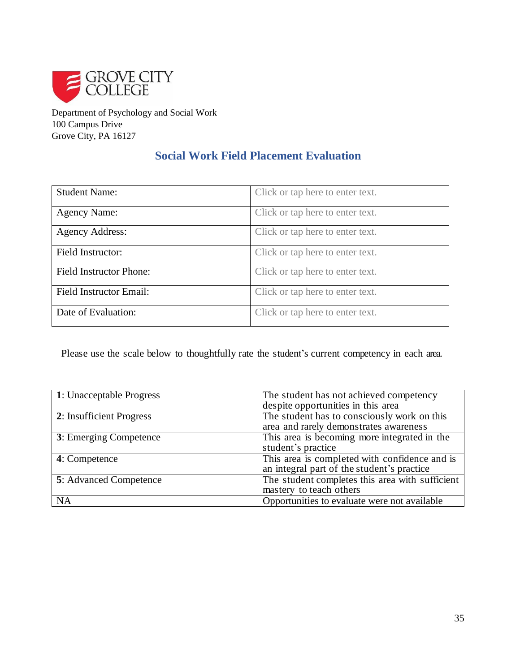

Department of Psychology and Social Work 100 Campus Drive Grove City, PA 16127

## **Social Work Field Placement Evaluation**

<span id="page-34-0"></span>

| <b>Student Name:</b>           | Click or tap here to enter text. |
|--------------------------------|----------------------------------|
| <b>Agency Name:</b>            | Click or tap here to enter text. |
| <b>Agency Address:</b>         | Click or tap here to enter text. |
| Field Instructor:              | Click or tap here to enter text. |
| <b>Field Instructor Phone:</b> | Click or tap here to enter text. |
| <b>Field Instructor Email:</b> | Click or tap here to enter text. |
| Date of Evaluation:            | Click or tap here to enter text. |

Please use the scale below to thoughtfully rate the student's current competency in each area.

| 1: Unacceptable Progress       | The student has not achieved competency         |
|--------------------------------|-------------------------------------------------|
|                                | despite opportunities in this area              |
| 2: Insufficient Progress       | The student has to consciously work on this     |
|                                | area and rarely demonstrates awareness          |
| 3: Emerging Competence         | This area is becoming more integrated in the    |
|                                | student's practice                              |
| 4: Competence                  | This area is completed with confidence and is   |
|                                | an integral part of the student's practice      |
| <b>5</b> : Advanced Competence | The student completes this area with sufficient |
|                                | mastery to teach others                         |
| <b>NA</b>                      | Opportunities to evaluate were not available    |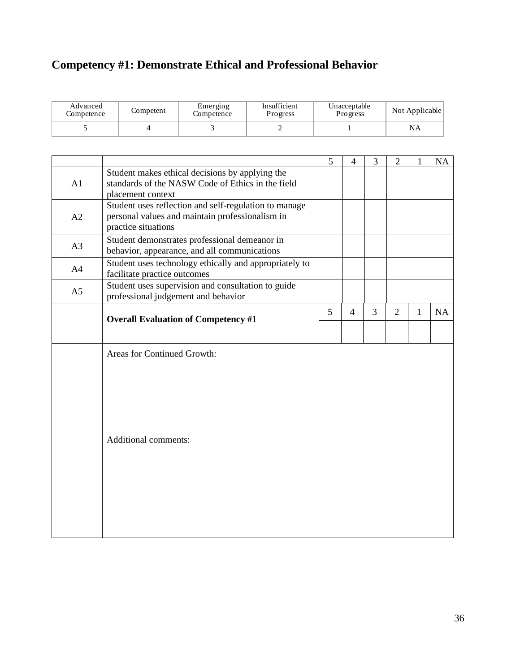# **Competency #1: Demonstrate Ethical and Professional Behavior**

| Advanced<br>Competence | Competent | Emerging<br>Competence | Insufficient<br>Progress | Unacceptable<br>Progress | Not Applicable |
|------------------------|-----------|------------------------|--------------------------|--------------------------|----------------|
|                        |           |                        |                          |                          | NA             |

|                |                                                                                                                                 | 5 | $\overline{4}$ | 3 | $\overline{2}$ | 1            | NA |
|----------------|---------------------------------------------------------------------------------------------------------------------------------|---|----------------|---|----------------|--------------|----|
| A1             | Student makes ethical decisions by applying the<br>standards of the NASW Code of Ethics in the field<br>placement context       |   |                |   |                |              |    |
| A2             | Student uses reflection and self-regulation to manage<br>personal values and maintain professionalism in<br>practice situations |   |                |   |                |              |    |
| A3             | Student demonstrates professional demeanor in<br>behavior, appearance, and all communications                                   |   |                |   |                |              |    |
| A4             | Student uses technology ethically and appropriately to<br>facilitate practice outcomes                                          |   |                |   |                |              |    |
| A <sub>5</sub> | Student uses supervision and consultation to guide<br>professional judgement and behavior                                       |   |                |   |                |              |    |
|                | <b>Overall Evaluation of Competency #1</b>                                                                                      | 5 | $\overline{4}$ | 3 | $\overline{2}$ | $\mathbf{1}$ | NA |
|                |                                                                                                                                 |   |                |   |                |              |    |
|                | Areas for Continued Growth:                                                                                                     |   |                |   |                |              |    |
|                | <b>Additional comments:</b>                                                                                                     |   |                |   |                |              |    |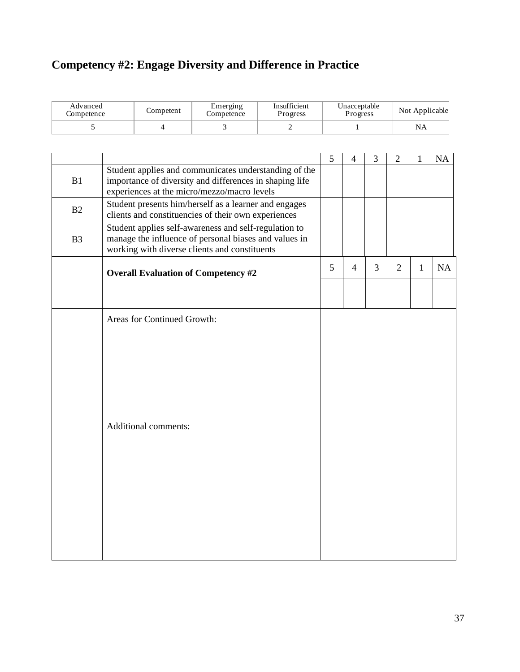# **Competency #2: Engage Diversity and Difference in Practice**

| Advanced<br>Competence | Competent | Emerging<br>Competence | Insufficient<br>Progress | Unacceptable<br>Progress | Not Applicable |
|------------------------|-----------|------------------------|--------------------------|--------------------------|----------------|
|                        |           |                        |                          |                          | ΝA             |

|                |                                                                                                                                                                 | 5 | $\overline{4}$ | 3              | $\overline{2}$ | 1            | NA |
|----------------|-----------------------------------------------------------------------------------------------------------------------------------------------------------------|---|----------------|----------------|----------------|--------------|----|
| B1             | Student applies and communicates understanding of the<br>importance of diversity and differences in shaping life<br>experiences at the micro/mezzo/macro levels |   |                |                |                |              |    |
| B2             | Student presents him/herself as a learner and engages<br>clients and constituencies of their own experiences                                                    |   |                |                |                |              |    |
| B <sub>3</sub> | Student applies self-awareness and self-regulation to<br>manage the influence of personal biases and values in<br>working with diverse clients and constituents |   |                |                |                |              |    |
|                | <b>Overall Evaluation of Competency #2</b>                                                                                                                      | 5 | $\overline{4}$ | $\overline{3}$ | $\overline{2}$ | $\mathbf{1}$ | NA |
|                |                                                                                                                                                                 |   |                |                |                |              |    |
|                | Areas for Continued Growth:                                                                                                                                     |   |                |                |                |              |    |
|                | <b>Additional comments:</b>                                                                                                                                     |   |                |                |                |              |    |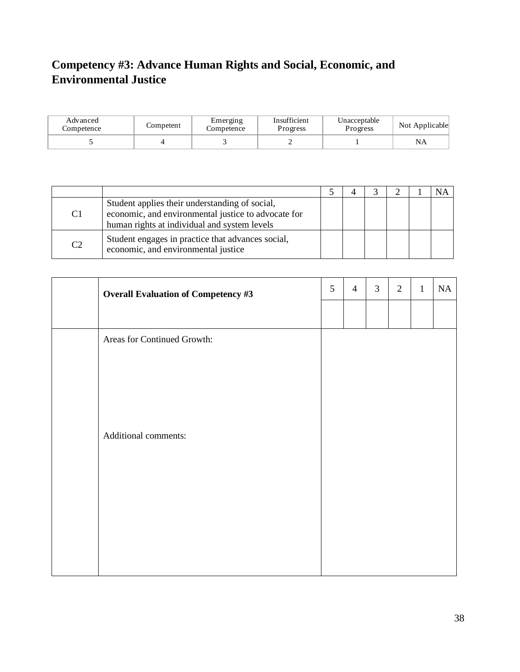# **Competency #3: Advance Human Rights and Social, Economic, and Environmental Justice**

| Advanced<br>Competence | Competent | Emerging<br>Competence | Insufficient<br>Progress | Unacceptable<br>Progress | Not Applicable |
|------------------------|-----------|------------------------|--------------------------|--------------------------|----------------|
|                        |           |                        |                          |                          | NA             |

|                |                                                                                                                                                       |  |  | ΝA |
|----------------|-------------------------------------------------------------------------------------------------------------------------------------------------------|--|--|----|
| C <sub>1</sub> | Student applies their understanding of social,<br>economic, and environmental justice to advocate for<br>human rights at individual and system levels |  |  |    |
| C <sub>2</sub> | Student engages in practice that advances social,<br>economic, and environmental justice                                                              |  |  |    |

|  | <b>Overall Evaluation of Competency #3</b> |  | $\overline{4}$ | $\mathfrak{Z}$ | 2 | $\mathbf{1}$ | NA |
|--|--------------------------------------------|--|----------------|----------------|---|--------------|----|
|  |                                            |  |                |                |   |              |    |
|  | Areas for Continued Growth:                |  |                |                |   |              |    |
|  |                                            |  |                |                |   |              |    |
|  |                                            |  |                |                |   |              |    |
|  |                                            |  |                |                |   |              |    |
|  | Additional comments:                       |  |                |                |   |              |    |
|  |                                            |  |                |                |   |              |    |
|  |                                            |  |                |                |   |              |    |
|  |                                            |  |                |                |   |              |    |
|  |                                            |  |                |                |   |              |    |
|  |                                            |  |                |                |   |              |    |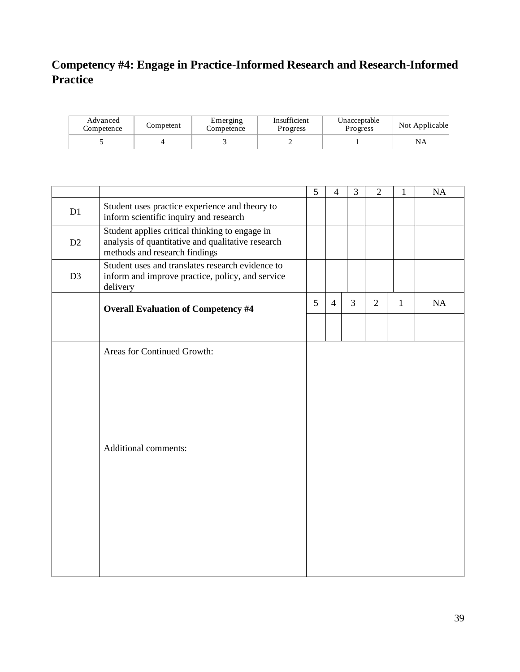# **Competency #4: Engage in Practice-Informed Research and Research-Informed Practice**

| Advanced<br>Competence | Competent | Emerging<br>Competence | Insufficient<br>Progress | Unacceptable<br>Progress | Not Applicable |
|------------------------|-----------|------------------------|--------------------------|--------------------------|----------------|
|                        |           |                        |                          |                          |                |

|                |                                                                                                                                      | 5 | $\overline{4}$ | 3              | $\overline{2}$ | 1            | NA |
|----------------|--------------------------------------------------------------------------------------------------------------------------------------|---|----------------|----------------|----------------|--------------|----|
| D1             | Student uses practice experience and theory to<br>inform scientific inquiry and research                                             |   |                |                |                |              |    |
| D2             | Student applies critical thinking to engage in<br>analysis of quantitative and qualitative research<br>methods and research findings |   |                |                |                |              |    |
| D <sub>3</sub> | Student uses and translates research evidence to<br>inform and improve practice, policy, and service<br>delivery                     |   |                |                |                |              |    |
|                | <b>Overall Evaluation of Competency #4</b>                                                                                           | 5 | $\overline{4}$ | $\overline{3}$ | $\overline{2}$ | $\mathbf{1}$ | NA |
|                |                                                                                                                                      |   |                |                |                |              |    |
|                | Areas for Continued Growth:<br>Additional comments:                                                                                  |   |                |                |                |              |    |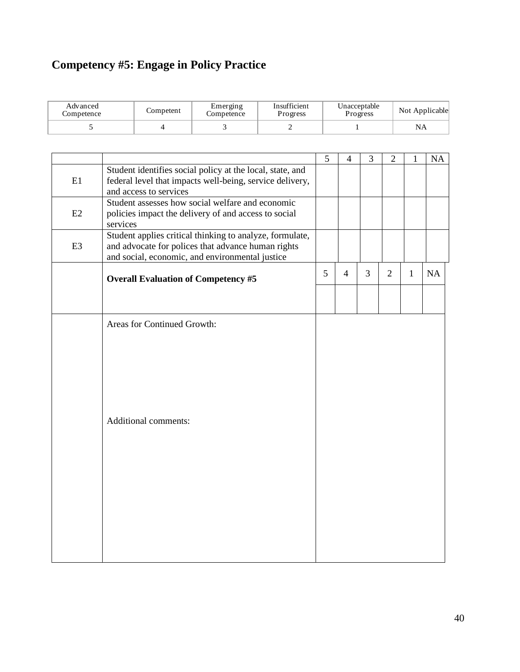# **Competency #5: Engage in Policy Practice**

| Advanced<br>Competence | Competent | Emerging<br>Competence | Insufficient<br>Progress | Unacceptable<br>Progress | Not Applicable |
|------------------------|-----------|------------------------|--------------------------|--------------------------|----------------|
|                        |           |                        |                          |                          | NA             |

|                |                                                                                                                                                                   | 5              | $\overline{4}$ | 3              | $\overline{2}$ | 1            | NA        |
|----------------|-------------------------------------------------------------------------------------------------------------------------------------------------------------------|----------------|----------------|----------------|----------------|--------------|-----------|
| E1             | Student identifies social policy at the local, state, and<br>federal level that impacts well-being, service delivery,<br>and access to services                   |                |                |                |                |              |           |
| E2             | Student assesses how social welfare and economic<br>policies impact the delivery of and access to social<br>services                                              |                |                |                |                |              |           |
| E <sub>3</sub> | Student applies critical thinking to analyze, formulate,<br>and advocate for polices that advance human rights<br>and social, economic, and environmental justice |                |                |                |                |              |           |
|                | <b>Overall Evaluation of Competency #5</b>                                                                                                                        | 5 <sup>5</sup> | $\overline{4}$ | $\overline{3}$ | $\overline{2}$ | $\mathbf{1}$ | <b>NA</b> |
|                |                                                                                                                                                                   |                |                |                |                |              |           |
|                | Areas for Continued Growth:                                                                                                                                       |                |                |                |                |              |           |
|                | Additional comments:                                                                                                                                              |                |                |                |                |              |           |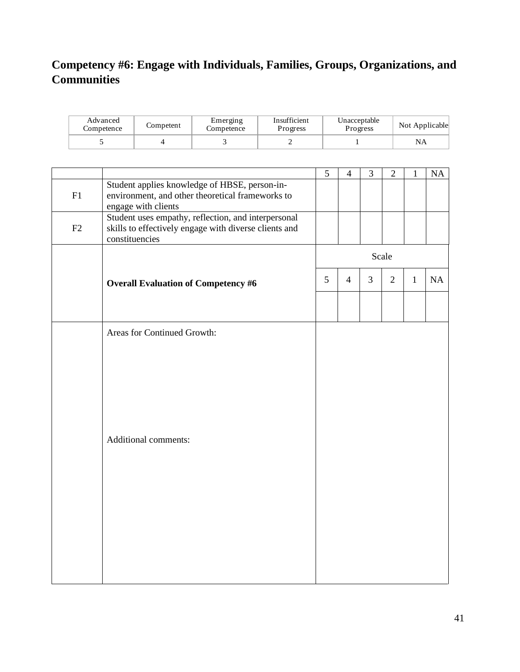# **Competency #6: Engage with Individuals, Families, Groups, Organizations, and Communities**

| Advanced<br>Competence | Competent | Emerging<br>Competence | Insufficient<br>Progress | Unacceptable<br>Progress | Not Applicable |
|------------------------|-----------|------------------------|--------------------------|--------------------------|----------------|
|                        |           |                        |                          |                          | NA             |

|    |                                                                                                                                | $\mathfrak{S}$ | $\overline{4}$ | 3              | $\overline{2}$ | $\mathbf{1}$ | NA |
|----|--------------------------------------------------------------------------------------------------------------------------------|----------------|----------------|----------------|----------------|--------------|----|
| F1 | Student applies knowledge of HBSE, person-in-<br>environment, and other theoretical frameworks to<br>engage with clients       |                |                |                |                |              |    |
| F2 | Student uses empathy, reflection, and interpersonal<br>skills to effectively engage with diverse clients and<br>constituencies |                |                |                |                |              |    |
|    |                                                                                                                                |                |                |                | Scale          |              |    |
|    | <b>Overall Evaluation of Competency #6</b>                                                                                     | 5              | $\overline{4}$ | $\overline{3}$ | $\overline{2}$ | $\mathbf{1}$ | NA |
|    |                                                                                                                                |                |                |                |                |              |    |
|    | Areas for Continued Growth:                                                                                                    |                |                |                |                |              |    |
|    |                                                                                                                                |                |                |                |                |              |    |
|    |                                                                                                                                |                |                |                |                |              |    |
|    |                                                                                                                                |                |                |                |                |              |    |
|    | Additional comments:                                                                                                           |                |                |                |                |              |    |
|    |                                                                                                                                |                |                |                |                |              |    |
|    |                                                                                                                                |                |                |                |                |              |    |
|    |                                                                                                                                |                |                |                |                |              |    |
|    |                                                                                                                                |                |                |                |                |              |    |
|    |                                                                                                                                |                |                |                |                |              |    |
|    |                                                                                                                                |                |                |                |                |              |    |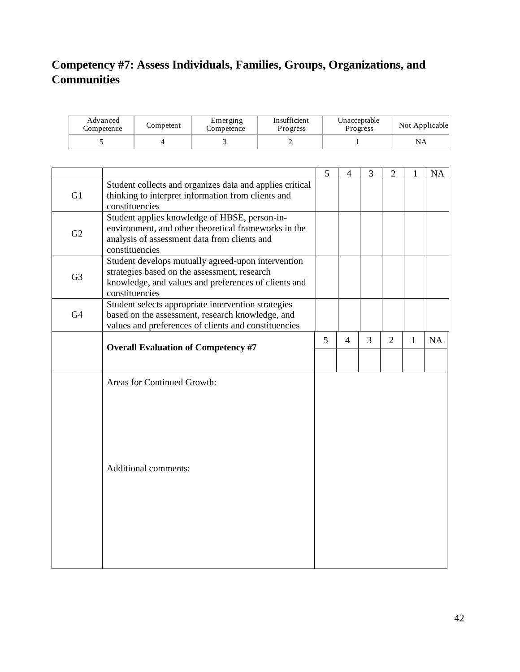# **Competency #7: Assess Individuals, Families, Groups, Organizations, and Communities**

| Advanced<br>Competence | Competent | Emerging<br>Competence | Insufficient<br>Progress | Unacceptable<br>Progress | Not Applicable |
|------------------------|-----------|------------------------|--------------------------|--------------------------|----------------|
|                        |           |                        |                          |                          | NΑ             |

|                |                                                                                                                                                                              | 5 | $\overline{4}$ | 3 | $\overline{2}$ | 1            | NA |
|----------------|------------------------------------------------------------------------------------------------------------------------------------------------------------------------------|---|----------------|---|----------------|--------------|----|
| G1             | Student collects and organizes data and applies critical<br>thinking to interpret information from clients and<br>constituencies                                             |   |                |   |                |              |    |
| G2             | Student applies knowledge of HBSE, person-in-<br>environment, and other theoretical frameworks in the<br>analysis of assessment data from clients and<br>constituencies      |   |                |   |                |              |    |
| G <sub>3</sub> | Student develops mutually agreed-upon intervention<br>strategies based on the assessment, research<br>knowledge, and values and preferences of clients and<br>constituencies |   |                |   |                |              |    |
| G <sub>4</sub> | Student selects appropriate intervention strategies<br>based on the assessment, research knowledge, and<br>values and preferences of clients and constituencies              |   |                |   |                |              |    |
|                | <b>Overall Evaluation of Competency #7</b>                                                                                                                                   | 5 | 4              | 3 | $\overline{2}$ | $\mathbf{1}$ | NA |
|                | Areas for Continued Growth:<br><b>Additional comments:</b>                                                                                                                   |   |                |   |                |              |    |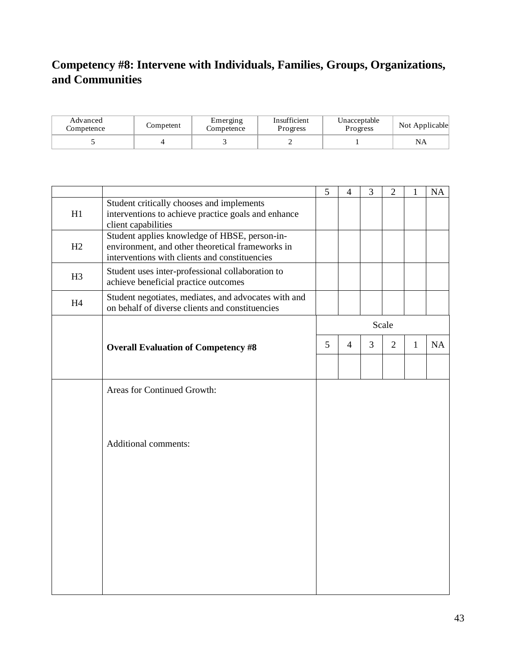# **Competency #8: Intervene with Individuals, Families, Groups, Organizations, and Communities**

| Advanced<br>Competence | Competent | Emerging<br>∠ompetence | Insufficient<br>Progress | Unacceptable<br>Progress | Not Applicable |
|------------------------|-----------|------------------------|--------------------------|--------------------------|----------------|
|                        |           |                        |                          |                          | NA             |

|                |                                                                                                                                                    | 5 | $\overline{4}$ | 3 | $\overline{2}$ | $\mathbf{1}$ | NA        |
|----------------|----------------------------------------------------------------------------------------------------------------------------------------------------|---|----------------|---|----------------|--------------|-----------|
| H1             | Student critically chooses and implements<br>interventions to achieve practice goals and enhance<br>client capabilities                            |   |                |   |                |              |           |
| H2             | Student applies knowledge of HBSE, person-in-<br>environment, and other theoretical frameworks in<br>interventions with clients and constituencies |   |                |   |                |              |           |
| H <sub>3</sub> | Student uses inter-professional collaboration to<br>achieve beneficial practice outcomes                                                           |   |                |   |                |              |           |
| H <sub>4</sub> | Student negotiates, mediates, and advocates with and<br>on behalf of diverse clients and constituencies                                            |   |                |   |                |              |           |
|                |                                                                                                                                                    |   |                |   | Scale          |              |           |
|                | <b>Overall Evaluation of Competency #8</b>                                                                                                         | 5 | $\overline{4}$ | 3 | $\overline{2}$ | $\mathbf{1}$ | <b>NA</b> |
|                |                                                                                                                                                    |   |                |   |                |              |           |
|                | Areas for Continued Growth:                                                                                                                        |   |                |   |                |              |           |
|                | <b>Additional comments:</b>                                                                                                                        |   |                |   |                |              |           |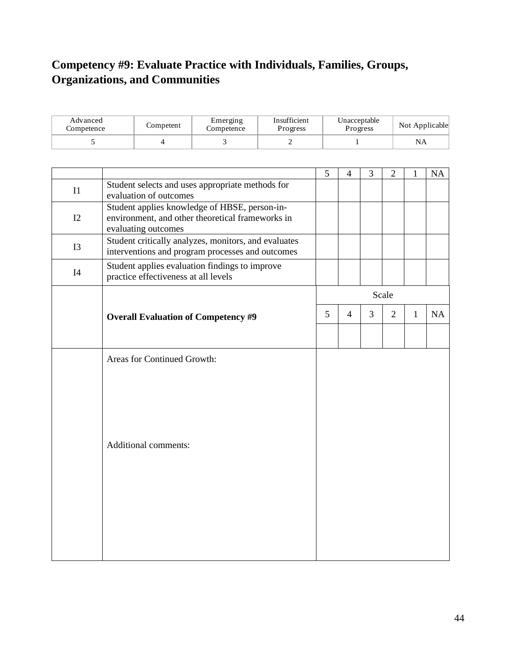# **Competency #9: Evaluate Practice with Individuals, Families, Groups, Organizations, and Communities**

| Advanced<br>Competence | Competent_ | Emerging<br>Competence | Insufficient<br>Progress | Unacceptable<br>Progress | Not Applicable |
|------------------------|------------|------------------------|--------------------------|--------------------------|----------------|
|                        |            |                        |                          |                          | ΝA             |

|    |                                                                                                                          | 5     | $\overline{4}$ | 3 | $\overline{2}$ | 1            | NA        |
|----|--------------------------------------------------------------------------------------------------------------------------|-------|----------------|---|----------------|--------------|-----------|
| I1 | Student selects and uses appropriate methods for<br>evaluation of outcomes                                               |       |                |   |                |              |           |
| I2 | Student applies knowledge of HBSE, person-in-<br>environment, and other theoretical frameworks in<br>evaluating outcomes |       |                |   |                |              |           |
| I3 | Student critically analyzes, monitors, and evaluates<br>interventions and program processes and outcomes                 |       |                |   |                |              |           |
| I4 | Student applies evaluation findings to improve<br>practice effectiveness at all levels                                   |       |                |   |                |              |           |
|    |                                                                                                                          | Scale |                |   |                |              |           |
|    | <b>Overall Evaluation of Competency #9</b>                                                                               | 5     | $\overline{4}$ | 3 | $\overline{2}$ | $\mathbf{1}$ | <b>NA</b> |
|    |                                                                                                                          |       |                |   |                |              |           |
|    | Areas for Continued Growth:                                                                                              |       |                |   |                |              |           |
|    | <b>Additional comments:</b>                                                                                              |       |                |   |                |              |           |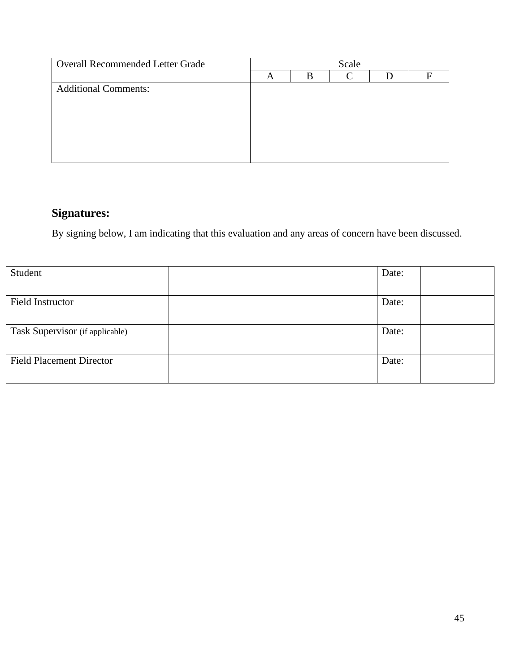| <b>Overall Recommended Letter Grade</b> | Scale |   |  |  |  |
|-----------------------------------------|-------|---|--|--|--|
|                                         | A     | B |  |  |  |
| <b>Additional Comments:</b>             |       |   |  |  |  |
|                                         |       |   |  |  |  |

# **Signatures:**

By signing below, I am indicating that this evaluation and any areas of concern have been discussed.

| Student                         | Date: |  |
|---------------------------------|-------|--|
| Field Instructor                | Date: |  |
| Task Supervisor (if applicable) | Date: |  |
| <b>Field Placement Director</b> | Date: |  |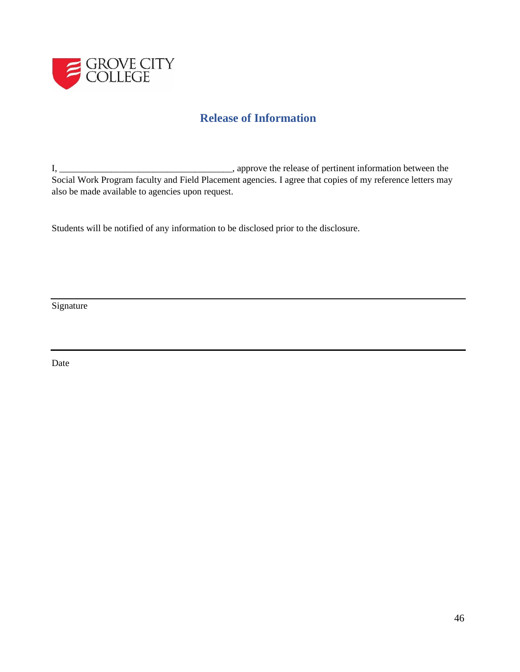

## **Release of Information**

<span id="page-45-0"></span>I, \_\_\_\_\_\_\_\_\_\_\_\_\_\_\_\_\_\_\_\_\_\_\_\_\_\_\_\_\_\_\_\_\_\_\_\_\_, approve the release of pertinent information between the Social Work Program faculty and Field Placement agencies. I agree that copies of my reference letters may also be made available to agencies upon request.

Students will be notified of any information to be disclosed prior to the disclosure.

Signature

Date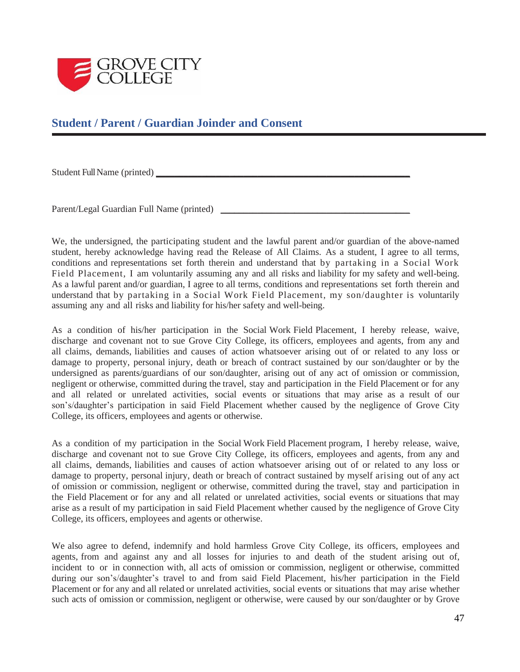

## <span id="page-46-0"></span>**Student / Parent / Guardian Joinder and Consent**

Student Full Name (printed) **\_\_\_\_\_\_\_\_\_\_\_\_\_\_\_\_\_\_\_\_\_\_\_\_\_\_\_\_\_\_\_\_\_\_\_\_\_\_\_\_\_\_\_\_\_\_\_\_\_\_\_\_\_\_\_**

Parent/Legal Guardian Full Name (printed)

We, the undersigned, the participating student and the lawful parent and/or guardian of the above-named student, hereby acknowledge having read the Release of All Claims. As a student, I agree to all terms, conditions and representations set forth therein and understand that by partaking in a Social Work Field Placement, I am voluntarily assuming any and all risks and liability for my safety and well-being. As a lawful parent and/or guardian, I agree to all terms, conditions and representations set forth therein and understand that by partaking in a Social Work Field Placement, my son/daughter is voluntarily assuming any and all risks and liability for his/her safety and well-being.

As a condition of his/her participation in the Social Work Field Placement, I hereby release, waive, discharge and covenant not to sue Grove City College, its officers, employees and agents, from any and all claims, demands, liabilities and causes of action whatsoever arising out of or related to any loss or damage to property, personal injury, death or breach of contract sustained by our son/daughter or by the undersigned as parents/guardians of our son/daughter, arising out of any act of omission or commission, negligent or otherwise, committed during the travel, stay and participation in the Field Placement or for any and all related or unrelated activities, social events or situations that may arise as a result of our son's/daughter's participation in said Field Placement whether caused by the negligence of Grove City College, its officers, employees and agents or otherwise.

As a condition of my participation in the Social Work Field Placement program, I hereby release, waive, discharge and covenant not to sue Grove City College, its officers, employees and agents, from any and all claims, demands, liabilities and causes of action whatsoever arising out of or related to any loss or damage to property, personal injury, death or breach of contract sustained by myself arising out of any act of omission or commission, negligent or otherwise, committed during the travel, stay and participation in the Field Placement or for any and all related or unrelated activities, social events or situations that may arise as a result of my participation in said Field Placement whether caused by the negligence of Grove City College, its officers, employees and agents or otherwise.

We also agree to defend, indemnify and hold harmless Grove City College, its officers, employees and agents, from and against any and all losses for injuries to and death of the student arising out of, incident to or in connection with, all acts of omission or commission, negligent or otherwise, committed during our son's/daughter's travel to and from said Field Placement, his/her participation in the Field Placement or for any and all related or unrelated activities, social events or situations that may arise whether such acts of omission or commission, negligent or otherwise, were caused by our son/daughter or by Grove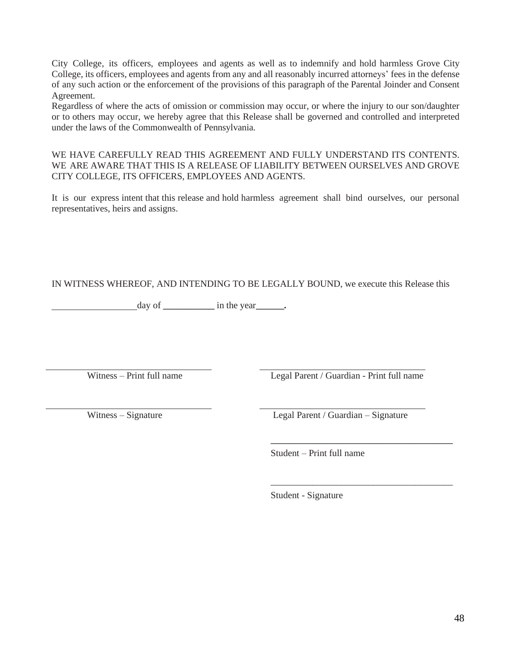City College, its officers, employees and agents as well as to indemnify and hold harmless Grove City College, its officers, employees and agents from any and all reasonably incurred attorneys' fees in the defense of any such action or the enforcement of the provisions of this paragraph of the Parental Joinder and Consent Agreement.

Regardless of where the acts of omission or commission may occur, or where the injury to our son/daughter or to others may occur, we hereby agree that this Release shall be governed and controlled and interpreted under the laws of the Commonwealth of Pennsylvania.

WE HAVE CAREFULLY READ THIS AGREEMENT AND FULLY UNDERSTAND ITS CONTENTS. WE ARE AWARE THAT THIS IS A RELEASE OF LIABILITY BETWEEN OURSELVES AND GROVE CITY COLLEGE, ITS OFFICERS, EMPLOYEES AND AGENTS.

It is our express intent that this release and hold harmless agreement shall bind ourselves, our personal representatives, heirs and assigns.

IN WITNESS WHEREOF, AND INTENDING TO BE LEGALLY BOUND, we execute this Release this

day of **\_\_\_\_\_\_\_\_\_\_\_** in the year**\_\_\_\_\_\_.**

Witness – Print full name Legal Parent / Guardian - Print full name

Witness – Signature Legal Parent / Guardian – Signature

\_\_\_\_\_\_\_\_\_\_\_\_\_\_\_\_\_\_\_\_\_\_\_\_\_\_\_\_\_\_\_\_\_\_\_\_\_\_\_

\_\_\_\_\_\_\_\_\_\_\_\_\_\_\_\_\_\_\_\_\_\_\_\_\_\_\_\_\_\_\_\_\_\_\_\_\_\_\_

Student – Print full name

Student - Signature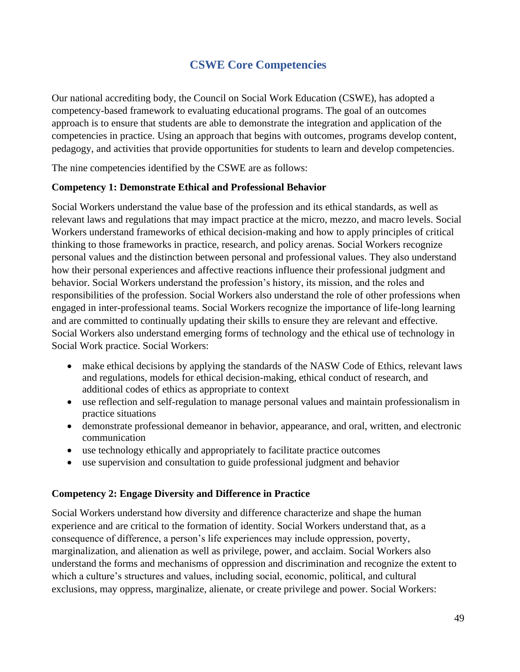## **CSWE Core Competencies**

<span id="page-48-0"></span>Our national accrediting body, the Council on Social Work Education (CSWE), has adopted a competency-based framework to evaluating educational programs. The goal of an outcomes approach is to ensure that students are able to demonstrate the integration and application of the competencies in practice. Using an approach that begins with outcomes, programs develop content, pedagogy, and activities that provide opportunities for students to learn and develop competencies.

The nine competencies identified by the CSWE are as follows:

### **Competency 1: Demonstrate Ethical and Professional Behavior**

Social Workers understand the value base of the profession and its ethical standards, as well as relevant laws and regulations that may impact practice at the micro, mezzo, and macro levels. Social Workers understand frameworks of ethical decision-making and how to apply principles of critical thinking to those frameworks in practice, research, and policy arenas. Social Workers recognize personal values and the distinction between personal and professional values. They also understand how their personal experiences and affective reactions influence their professional judgment and behavior. Social Workers understand the profession's history, its mission, and the roles and responsibilities of the profession. Social Workers also understand the role of other professions when engaged in inter-professional teams. Social Workers recognize the importance of life-long learning and are committed to continually updating their skills to ensure they are relevant and effective. Social Workers also understand emerging forms of technology and the ethical use of technology in Social Work practice. Social Workers:

- make ethical decisions by applying the standards of the NASW Code of Ethics, relevant laws and regulations, models for ethical decision-making, ethical conduct of research, and additional codes of ethics as appropriate to context
- use reflection and self-regulation to manage personal values and maintain professionalism in practice situations
- demonstrate professional demeanor in behavior, appearance, and oral, written, and electronic communication
- use technology ethically and appropriately to facilitate practice outcomes
- use supervision and consultation to guide professional judgment and behavior

### **Competency 2: Engage Diversity and Difference in Practice**

Social Workers understand how diversity and difference characterize and shape the human experience and are critical to the formation of identity. Social Workers understand that, as a consequence of difference, a person's life experiences may include oppression, poverty, marginalization, and alienation as well as privilege, power, and acclaim. Social Workers also understand the forms and mechanisms of oppression and discrimination and recognize the extent to which a culture's structures and values, including social, economic, political, and cultural exclusions, may oppress, marginalize, alienate, or create privilege and power. Social Workers: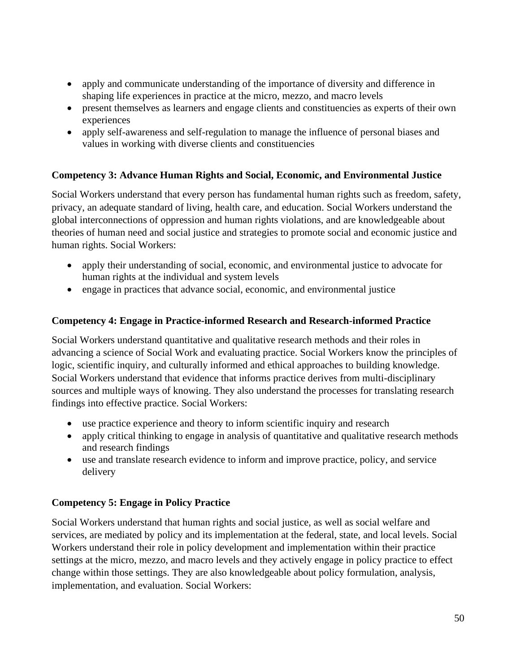- apply and communicate understanding of the importance of diversity and difference in shaping life experiences in practice at the micro, mezzo, and macro levels
- present themselves as learners and engage clients and constituencies as experts of their own experiences
- apply self-awareness and self-regulation to manage the influence of personal biases and values in working with diverse clients and constituencies

### **Competency 3: Advance Human Rights and Social, Economic, and Environmental Justice**

Social Workers understand that every person has fundamental human rights such as freedom, safety, privacy, an adequate standard of living, health care, and education. Social Workers understand the global interconnections of oppression and human rights violations, and are knowledgeable about theories of human need and social justice and strategies to promote social and economic justice and human rights. Social Workers:

- apply their understanding of social, economic, and environmental justice to advocate for human rights at the individual and system levels
- engage in practices that advance social, economic, and environmental justice

### **Competency 4: Engage in Practice-informed Research and Research-informed Practice**

Social Workers understand quantitative and qualitative research methods and their roles in advancing a science of Social Work and evaluating practice. Social Workers know the principles of logic, scientific inquiry, and culturally informed and ethical approaches to building knowledge. Social Workers understand that evidence that informs practice derives from multi-disciplinary sources and multiple ways of knowing. They also understand the processes for translating research findings into effective practice. Social Workers:

- use practice experience and theory to inform scientific inquiry and research
- apply critical thinking to engage in analysis of quantitative and qualitative research methods and research findings
- use and translate research evidence to inform and improve practice, policy, and service delivery

### **Competency 5: Engage in Policy Practice**

Social Workers understand that human rights and social justice, as well as social welfare and services, are mediated by policy and its implementation at the federal, state, and local levels. Social Workers understand their role in policy development and implementation within their practice settings at the micro, mezzo, and macro levels and they actively engage in policy practice to effect change within those settings. They are also knowledgeable about policy formulation, analysis, implementation, and evaluation. Social Workers: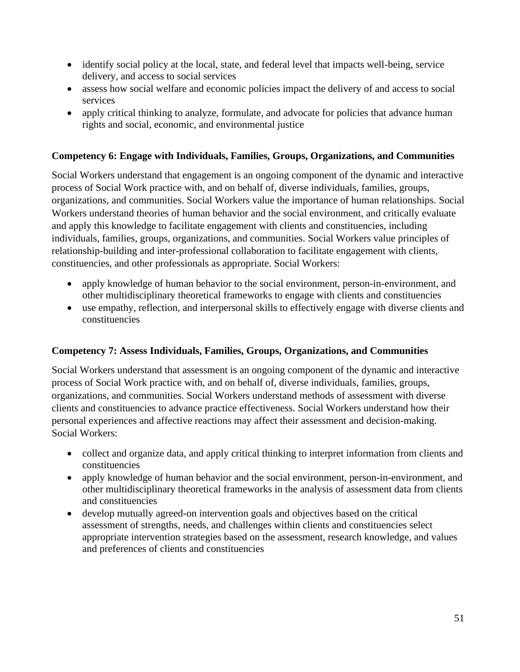- identify social policy at the local, state, and federal level that impacts well-being, service delivery, and access to social services
- assess how social welfare and economic policies impact the delivery of and access to social services
- apply critical thinking to analyze, formulate, and advocate for policies that advance human rights and social, economic, and environmental justice

### **Competency 6: Engage with Individuals, Families, Groups, Organizations, and Communities**

Social Workers understand that engagement is an ongoing component of the dynamic and interactive process of Social Work practice with, and on behalf of, diverse individuals, families, groups, organizations, and communities. Social Workers value the importance of human relationships. Social Workers understand theories of human behavior and the social environment, and critically evaluate and apply this knowledge to facilitate engagement with clients and constituencies, including individuals, families, groups, organizations, and communities. Social Workers value principles of relationship-building and inter-professional collaboration to facilitate engagement with clients, constituencies, and other professionals as appropriate. Social Workers:

- apply knowledge of human behavior to the social environment, person-in-environment, and other multidisciplinary theoretical frameworks to engage with clients and constituencies
- use empathy, reflection, and interpersonal skills to effectively engage with diverse clients and constituencies

### **Competency 7: Assess Individuals, Families, Groups, Organizations, and Communities**

Social Workers understand that assessment is an ongoing component of the dynamic and interactive process of Social Work practice with, and on behalf of, diverse individuals, families, groups, organizations, and communities. Social Workers understand methods of assessment with diverse clients and constituencies to advance practice effectiveness. Social Workers understand how their personal experiences and affective reactions may affect their assessment and decision-making. Social Workers:

- collect and organize data, and apply critical thinking to interpret information from clients and constituencies
- apply knowledge of human behavior and the social environment, person-in-environment, and other multidisciplinary theoretical frameworks in the analysis of assessment data from clients and constituencies
- develop mutually agreed-on intervention goals and objectives based on the critical assessment of strengths, needs, and challenges within clients and constituencies select appropriate intervention strategies based on the assessment, research knowledge, and values and preferences of clients and constituencies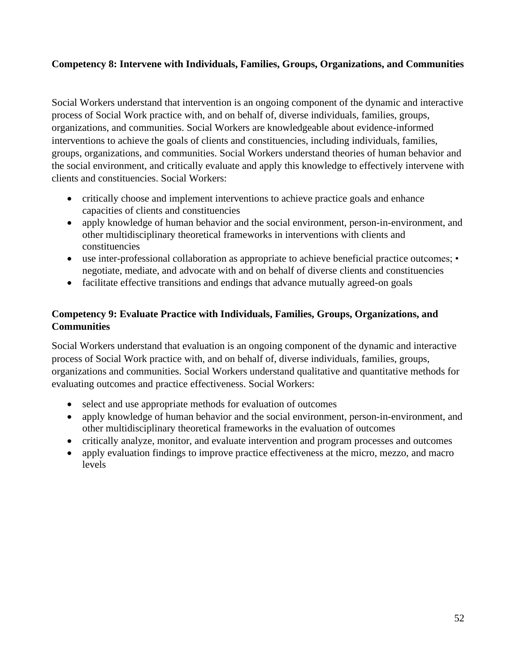### **Competency 8: Intervene with Individuals, Families, Groups, Organizations, and Communities**

Social Workers understand that intervention is an ongoing component of the dynamic and interactive process of Social Work practice with, and on behalf of, diverse individuals, families, groups, organizations, and communities. Social Workers are knowledgeable about evidence-informed interventions to achieve the goals of clients and constituencies, including individuals, families, groups, organizations, and communities. Social Workers understand theories of human behavior and the social environment, and critically evaluate and apply this knowledge to effectively intervene with clients and constituencies. Social Workers:

- critically choose and implement interventions to achieve practice goals and enhance capacities of clients and constituencies
- apply knowledge of human behavior and the social environment, person-in-environment, and other multidisciplinary theoretical frameworks in interventions with clients and constituencies
- use inter-professional collaboration as appropriate to achieve beneficial practice outcomes; negotiate, mediate, and advocate with and on behalf of diverse clients and constituencies
- facilitate effective transitions and endings that advance mutually agreed-on goals

### **Competency 9: Evaluate Practice with Individuals, Families, Groups, Organizations, and Communities**

Social Workers understand that evaluation is an ongoing component of the dynamic and interactive process of Social Work practice with, and on behalf of, diverse individuals, families, groups, organizations and communities. Social Workers understand qualitative and quantitative methods for evaluating outcomes and practice effectiveness. Social Workers:

- select and use appropriate methods for evaluation of outcomes
- apply knowledge of human behavior and the social environment, person-in-environment, and other multidisciplinary theoretical frameworks in the evaluation of outcomes
- critically analyze, monitor, and evaluate intervention and program processes and outcomes
- apply evaluation findings to improve practice effectiveness at the micro, mezzo, and macro levels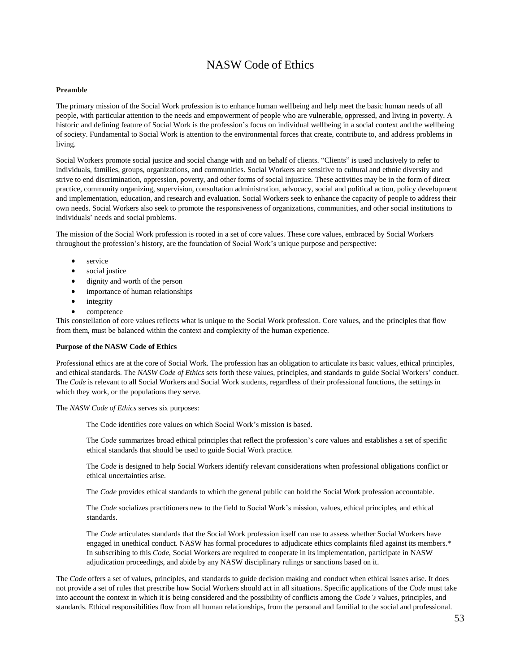## NASW Code of Ethics

### <span id="page-52-0"></span>**Preamble**

The primary mission of the Social Work profession is to enhance human wellbeing and help meet the basic human needs of all people, with particular attention to the needs and empowerment of people who are vulnerable, oppressed, and living in poverty. A historic and defining feature of Social Work is the profession's focus on individual wellbeing in a social context and the wellbeing of society. Fundamental to Social Work is attention to the environmental forces that create, contribute to, and address problems in living.

Social Workers promote social justice and social change with and on behalf of clients. "Clients" is used inclusively to refer to individuals, families, groups, organizations, and communities. Social Workers are sensitive to cultural and ethnic diversity and strive to end discrimination, oppression, poverty, and other forms of social injustice. These activities may be in the form of direct practice, community organizing, supervision, consultation administration, advocacy, social and political action, policy development and implementation, education, and research and evaluation. Social Workers seek to enhance the capacity of people to address their own needs. Social Workers also seek to promote the responsiveness of organizations, communities, and other social institutions to individuals' needs and social problems.

The mission of the Social Work profession is rooted in a set of core values. These core values, embraced by Social Workers throughout the profession's history, are the foundation of Social Work's unique purpose and perspective:

- service
- social justice
- dignity and worth of the person
- importance of human relationships
- integrity
- competence

This constellation of core values reflects what is unique to the Social Work profession. Core values, and the principles that flow from them, must be balanced within the context and complexity of the human experience.

### **Purpose of the NASW Code of Ethics**

Professional ethics are at the core of Social Work. The profession has an obligation to articulate its basic values, ethical principles, and ethical standards. The *NASW Code of Ethics* sets forth these values, principles, and standards to guide Social Workers' conduct. The *Code* is relevant to all Social Workers and Social Work students, regardless of their professional functions, the settings in which they work, or the populations they serve.

The *NASW Code of Ethics* serves six purposes:

The Code identifies core values on which Social Work's mission is based.

The *Code* summarizes broad ethical principles that reflect the profession's core values and establishes a set of specific ethical standards that should be used to guide Social Work practice.

The *Code* is designed to help Social Workers identify relevant considerations when professional obligations conflict or ethical uncertainties arise.

The *Code* provides ethical standards to which the general public can hold the Social Work profession accountable.

The *Code* socializes practitioners new to the field to Social Work's mission, values, ethical principles, and ethical standards.

The *Code* articulates standards that the Social Work profession itself can use to assess whether Social Workers have engaged in unethical conduct. NASW has formal procedures to adjudicate ethics complaints filed against its members.\* In subscribing to this *Code*, Social Workers are required to cooperate in its implementation, participate in NASW adjudication proceedings, and abide by any NASW disciplinary rulings or sanctions based on it.

The *Code* offers a set of values, principles, and standards to guide decision making and conduct when ethical issues arise. It does not provide a set of rules that prescribe how Social Workers should act in all situations. Specific applications of the *Code* must take into account the context in which it is being considered and the possibility of conflicts among the *Code's* values, principles, and standards. Ethical responsibilities flow from all human relationships, from the personal and familial to the social and professional.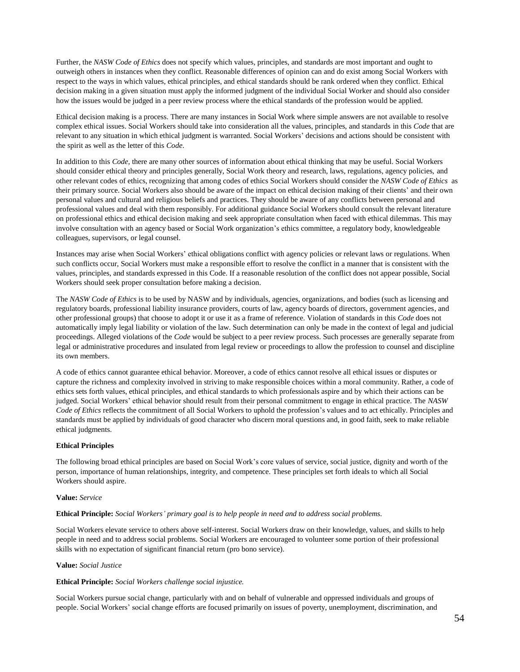Further, the *NASW Code of Ethics* does not specify which values, principles, and standards are most important and ought to outweigh others in instances when they conflict. Reasonable differences of opinion can and do exist among Social Workers with respect to the ways in which values, ethical principles, and ethical standards should be rank ordered when they conflict. Ethical decision making in a given situation must apply the informed judgment of the individual Social Worker and should also consider how the issues would be judged in a peer review process where the ethical standards of the profession would be applied.

Ethical decision making is a process. There are many instances in Social Work where simple answers are not available to resolve complex ethical issues. Social Workers should take into consideration all the values, principles, and standards in this *Code* that are relevant to any situation in which ethical judgment is warranted. Social Workers' decisions and actions should be consistent with the spirit as well as the letter of this *Code*.

In addition to this *Code*, there are many other sources of information about ethical thinking that may be useful. Social Workers should consider ethical theory and principles generally, Social Work theory and research, laws, regulations, agency policies, and other relevant codes of ethics, recognizing that among codes of ethics Social Workers should consider the *NASW Code of Ethics* as their primary source. Social Workers also should be aware of the impact on ethical decision making of their clients' and their own personal values and cultural and religious beliefs and practices. They should be aware of any conflicts between personal and professional values and deal with them responsibly. For additional guidance Social Workers should consult the relevant literature on professional ethics and ethical decision making and seek appropriate consultation when faced with ethical dilemmas. This may involve consultation with an agency based or Social Work organization's ethics committee, a regulatory body, knowledgeable colleagues, supervisors, or legal counsel.

Instances may arise when Social Workers' ethical obligations conflict with agency policies or relevant laws or regulations. When such conflicts occur, Social Workers must make a responsible effort to resolve the conflict in a manner that is consistent with the values, principles, and standards expressed in this Code. If a reasonable resolution of the conflict does not appear possible, Social Workers should seek proper consultation before making a decision.

The *NASW Code of Ethics* is to be used by NASW and by individuals, agencies, organizations, and bodies (such as licensing and regulatory boards, professional liability insurance providers, courts of law, agency boards of directors, government agencies, and other professional groups) that choose to adopt it or use it as a frame of reference. Violation of standards in this *Code* does not automatically imply legal liability or violation of the law. Such determination can only be made in the context of legal and judicial proceedings. Alleged violations of the *Code* would be subject to a peer review process. Such processes are generally separate from legal or administrative procedures and insulated from legal review or proceedings to allow the profession to counsel and discipline its own members.

A code of ethics cannot guarantee ethical behavior. Moreover, a code of ethics cannot resolve all ethical issues or disputes or capture the richness and complexity involved in striving to make responsible choices within a moral community. Rather, a code of ethics sets forth values, ethical principles, and ethical standards to which professionals aspire and by which their actions can be judged. Social Workers' ethical behavior should result from their personal commitment to engage in ethical practice. The *NASW Code of Ethics* reflects the commitment of all Social Workers to uphold the profession's values and to act ethically. Principles and standards must be applied by individuals of good character who discern moral questions and, in good faith, seek to make reliable ethical judgments.

### **Ethical Principles**

The following broad ethical principles are based on Social Work's core values of service, social justice, dignity and worth of the person, importance of human relationships, integrity, and competence. These principles set forth ideals to which all Social Workers should aspire.

### **Value:** *Service*

### **Ethical Principle:** *Social Workers' primary goal is to help people in need and to address social problems.*

Social Workers elevate service to others above self-interest. Social Workers draw on their knowledge, values, and skills to help people in need and to address social problems. Social Workers are encouraged to volunteer some portion of their professional skills with no expectation of significant financial return (pro bono service).

### **Value:** *Social Justice*

### **Ethical Principle:** *Social Workers challenge social injustice.*

Social Workers pursue social change, particularly with and on behalf of vulnerable and oppressed individuals and groups of people. Social Workers' social change efforts are focused primarily on issues of poverty, unemployment, discrimination, and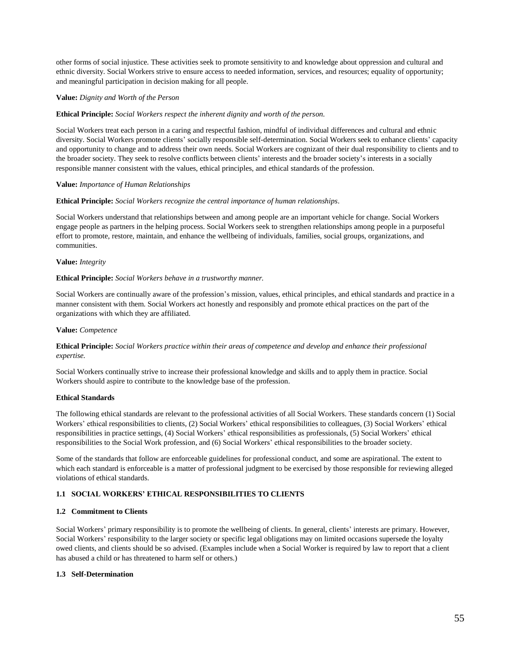other forms of social injustice. These activities seek to promote sensitivity to and knowledge about oppression and cultural and ethnic diversity. Social Workers strive to ensure access to needed information, services, and resources; equality of opportunity; and meaningful participation in decision making for all people.

### **Value:** *Dignity and Worth of the Person*

### **Ethical Principle:** *Social Workers respect the inherent dignity and worth of the person.*

Social Workers treat each person in a caring and respectful fashion, mindful of individual differences and cultural and ethnic diversity. Social Workers promote clients' socially responsible self-determination. Social Workers seek to enhance clients' capacity and opportunity to change and to address their own needs. Social Workers are cognizant of their dual responsibility to clients and to the broader society. They seek to resolve conflicts between clients' interests and the broader society's interests in a socially responsible manner consistent with the values, ethical principles, and ethical standards of the profession.

### **Value:** *Importance of Human Relationships*

### **Ethical Principle:** *Social Workers recognize the central importance of human relationships.*

Social Workers understand that relationships between and among people are an important vehicle for change. Social Workers engage people as partners in the helping process. Social Workers seek to strengthen relationships among people in a purposeful effort to promote, restore, maintain, and enhance the wellbeing of individuals, families, social groups, organizations, and communities.

### **Value:** *Integrity*

### **Ethical Principle:** *Social Workers behave in a trustworthy manner.*

Social Workers are continually aware of the profession's mission, values, ethical principles, and ethical standards and practice in a manner consistent with them. Social Workers act honestly and responsibly and promote ethical practices on the part of the organizations with which they are affiliated.

### **Value:** *Competence*

### **Ethical Principle:** *Social Workers practice within their areas of competence and develop and enhance their professional expertise.*

Social Workers continually strive to increase their professional knowledge and skills and to apply them in practice. Social Workers should aspire to contribute to the knowledge base of the profession.

### **Ethical Standards**

The following ethical standards are relevant to the professional activities of all Social Workers. These standards concern (1) Social Workers' ethical responsibilities to clients, (2) Social Workers' ethical responsibilities to colleagues, (3) Social Workers' ethical responsibilities in practice settings, (4) Social Workers' ethical responsibilities as professionals, (5) Social Workers' ethical responsibilities to the Social Work profession, and (6) Social Workers' ethical responsibilities to the broader society.

Some of the standards that follow are enforceable guidelines for professional conduct, and some are aspirational. The extent to which each standard is enforceable is a matter of professional judgment to be exercised by those responsible for reviewing alleged violations of ethical standards.

### **1.1 SOCIAL WORKERS' ETHICAL RESPONSIBILITIES TO CLIENTS**

### **1.2 Commitment to Clients**

Social Workers' primary responsibility is to promote the wellbeing of clients. In general, clients' interests are primary. However, Social Workers' responsibility to the larger society or specific legal obligations may on limited occasions supersede the loyalty owed clients, and clients should be so advised. (Examples include when a Social Worker is required by law to report that a client has abused a child or has threatened to harm self or others.)

### **1.3 Self-Determination**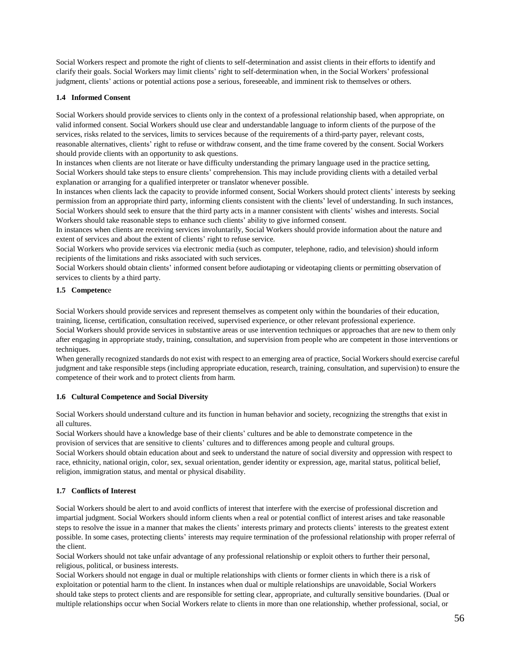Social Workers respect and promote the right of clients to self-determination and assist clients in their efforts to identify and clarify their goals. Social Workers may limit clients' right to self-determination when, in the Social Workers' professional judgment, clients' actions or potential actions pose a serious, foreseeable, and imminent risk to themselves or others.

### **1.4 Informed Consent**

Social Workers should provide services to clients only in the context of a professional relationship based, when appropriate, on valid informed consent. Social Workers should use clear and understandable language to inform clients of the purpose of the services, risks related to the services, limits to services because of the requirements of a third-party payer, relevant costs, reasonable alternatives, clients' right to refuse or withdraw consent, and the time frame covered by the consent. Social Workers should provide clients with an opportunity to ask questions.

In instances when clients are not literate or have difficulty understanding the primary language used in the practice setting, Social Workers should take steps to ensure clients' comprehension. This may include providing clients with a detailed verbal explanation or arranging for a qualified interpreter or translator whenever possible.

In instances when clients lack the capacity to provide informed consent, Social Workers should protect clients' interests by seeking permission from an appropriate third party, informing clients consistent with the clients' level of understanding. In such instances, Social Workers should seek to ensure that the third party acts in a manner consistent with clients' wishes and interests. Social Workers should take reasonable steps to enhance such clients' ability to give informed consent.

In instances when clients are receiving services involuntarily, Social Workers should provide information about the nature and extent of services and about the extent of clients' right to refuse service.

Social Workers who provide services via electronic media (such as computer, telephone, radio, and television) should inform recipients of the limitations and risks associated with such services.

Social Workers should obtain clients' informed consent before audiotaping or videotaping clients or permitting observation of services to clients by a third party.

### **1.5 Competenc**e

Social Workers should provide services and represent themselves as competent only within the boundaries of their education, training, license, certification, consultation received, supervised experience, or other relevant professional experience.

Social Workers should provide services in substantive areas or use intervention techniques or approaches that are new to them only after engaging in appropriate study, training, consultation, and supervision from people who are competent in those interventions or techniques.

When generally recognized standards do not exist with respect to an emerging area of practice, Social Workers should exercise careful judgment and take responsible steps (including appropriate education, research, training, consultation, and supervision) to ensure the competence of their work and to protect clients from harm.

### **1.6 Cultural Competence and Social Diversity**

Social Workers should understand culture and its function in human behavior and society, recognizing the strengths that exist in all cultures.

Social Workers should have a knowledge base of their clients' cultures and be able to demonstrate competence in the provision of services that are sensitive to clients' cultures and to differences among people and cultural groups.

Social Workers should obtain education about and seek to understand the nature of social diversity and oppression with respect to race, ethnicity, national origin, color, sex, sexual orientation, gender identity or expression, age, marital status, political belief, religion, immigration status, and mental or physical disability.

### **1.7 Conflicts of Interest**

Social Workers should be alert to and avoid conflicts of interest that interfere with the exercise of professional discretion and impartial judgment. Social Workers should inform clients when a real or potential conflict of interest arises and take reasonable steps to resolve the issue in a manner that makes the clients' interests primary and protects clients' interests to the greatest extent possible. In some cases, protecting clients' interests may require termination of the professional relationship with proper referral of the client.

Social Workers should not take unfair advantage of any professional relationship or exploit others to further their personal, religious, political, or business interests.

Social Workers should not engage in dual or multiple relationships with clients or former clients in which there is a risk of exploitation or potential harm to the client. In instances when dual or multiple relationships are unavoidable, Social Workers should take steps to protect clients and are responsible for setting clear, appropriate, and culturally sensitive boundaries. (Dual or multiple relationships occur when Social Workers relate to clients in more than one relationship, whether professional, social, or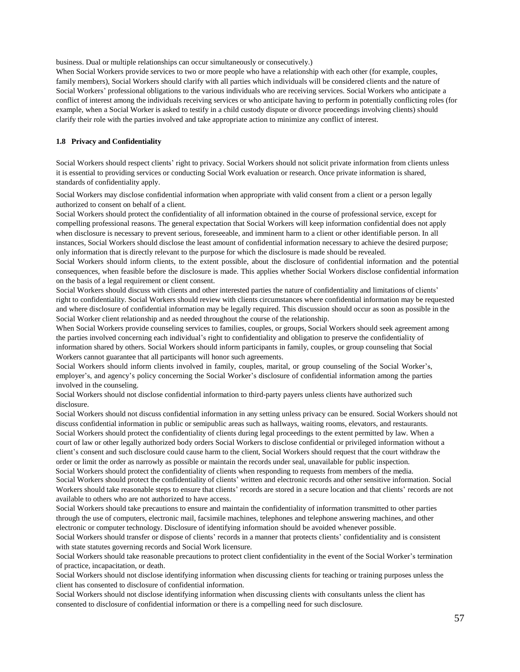business. Dual or multiple relationships can occur simultaneously or consecutively.)

When Social Workers provide services to two or more people who have a relationship with each other (for example, couples, family members), Social Workers should clarify with all parties which individuals will be considered clients and the nature of Social Workers' professional obligations to the various individuals who are receiving services. Social Workers who anticipate a conflict of interest among the individuals receiving services or who anticipate having to perform in potentially conflicting roles (for example, when a Social Worker is asked to testify in a child custody dispute or divorce proceedings involving clients) should clarify their role with the parties involved and take appropriate action to minimize any conflict of interest.

### **1.8 Privacy and Confidentiality**

Social Workers should respect clients' right to privacy. Social Workers should not solicit private information from clients unless it is essential to providing services or conducting Social Work evaluation or research. Once private information is shared, standards of confidentiality apply.

Social Workers may disclose confidential information when appropriate with valid consent from a client or a person legally authorized to consent on behalf of a client.

Social Workers should protect the confidentiality of all information obtained in the course of professional service, except for compelling professional reasons. The general expectation that Social Workers will keep information confidential does not apply when disclosure is necessary to prevent serious, foreseeable, and imminent harm to a client or other identifiable person. In all instances, Social Workers should disclose the least amount of confidential information necessary to achieve the desired purpose; only information that is directly relevant to the purpose for which the disclosure is made should be revealed.

Social Workers should inform clients, to the extent possible, about the disclosure of confidential information and the potential consequences, when feasible before the disclosure is made. This applies whether Social Workers disclose confidential information on the basis of a legal requirement or client consent.

Social Workers should discuss with clients and other interested parties the nature of confidentiality and limitations of clients' right to confidentiality. Social Workers should review with clients circumstances where confidential information may be requested and where disclosure of confidential information may be legally required. This discussion should occur as soon as possible in the Social Worker client relationship and as needed throughout the course of the relationship.

When Social Workers provide counseling services to families, couples, or groups, Social Workers should seek agreement among the parties involved concerning each individual's right to confidentiality and obligation to preserve the confidentiality of information shared by others. Social Workers should inform participants in family, couples, or group counseling that Social Workers cannot guarantee that all participants will honor such agreements.

Social Workers should inform clients involved in family, couples, marital, or group counseling of the Social Worker's, employer's, and agency's policy concerning the Social Worker's disclosure of confidential information among the parties involved in the counseling.

Social Workers should not disclose confidential information to third-party payers unless clients have authorized such disclosure.

Social Workers should not discuss confidential information in any setting unless privacy can be ensured. Social Workers should not discuss confidential information in public or semipublic areas such as hallways, waiting rooms, elevators, and restaurants. Social Workers should protect the confidentiality of clients during legal proceedings to the extent permitted by law. When a court of law or other legally authorized body orders Social Workers to disclose confidential or privileged information without a client's consent and such disclosure could cause harm to the client, Social Workers should request that the court withdraw the order or limit the order as narrowly as possible or maintain the records under seal, unavailable for public inspection. Social Workers should protect the confidentiality of clients when responding to requests from members of the media.

Social Workers should protect the confidentiality of clients' written and electronic records and other sensitive information. Social Workers should take reasonable steps to ensure that clients' records are stored in a secure location and that clients' records are not available to others who are not authorized to have access.

Social Workers should take precautions to ensure and maintain the confidentiality of information transmitted to other parties through the use of computers, electronic mail, facsimile machines, telephones and telephone answering machines, and other electronic or computer technology. Disclosure of identifying information should be avoided whenever possible.

Social Workers should transfer or dispose of clients' records in a manner that protects clients' confidentiality and is consistent with state statutes governing records and Social Work licensure.

Social Workers should take reasonable precautions to protect client confidentiality in the event of the Social Worker's termination of practice, incapacitation, or death.

Social Workers should not disclose identifying information when discussing clients for teaching or training purposes unless the client has consented to disclosure of confidential information.

Social Workers should not disclose identifying information when discussing clients with consultants unless the client has consented to disclosure of confidential information or there is a compelling need for such disclosure.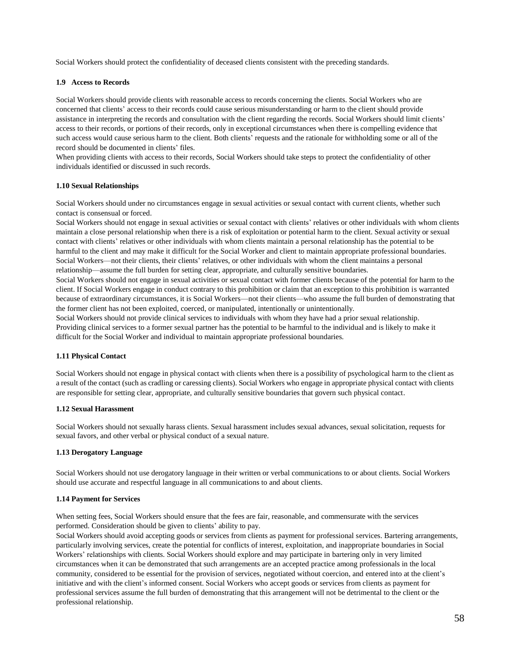Social Workers should protect the confidentiality of deceased clients consistent with the preceding standards.

### **1.9 Access to Records**

Social Workers should provide clients with reasonable access to records concerning the clients. Social Workers who are concerned that clients' access to their records could cause serious misunderstanding or harm to the client should provide assistance in interpreting the records and consultation with the client regarding the records. Social Workers should limit clients' access to their records, or portions of their records, only in exceptional circumstances when there is compelling evidence that such access would cause serious harm to the client. Both clients' requests and the rationale for withholding some or all of the record should be documented in clients' files.

When providing clients with access to their records, Social Workers should take steps to protect the confidentiality of other individuals identified or discussed in such records.

### **1.10 Sexual Relationships**

Social Workers should under no circumstances engage in sexual activities or sexual contact with current clients, whether such contact is consensual or forced.

Social Workers should not engage in sexual activities or sexual contact with clients' relatives or other individuals with whom clients maintain a close personal relationship when there is a risk of exploitation or potential harm to the client. Sexual activity or sexual contact with clients' relatives or other individuals with whom clients maintain a personal relationship has the potential to be harmful to the client and may make it difficult for the Social Worker and client to maintain appropriate professional boundaries. Social Workers—not their clients, their clients' relatives, or other individuals with whom the client maintains a personal relationship—assume the full burden for setting clear, appropriate, and culturally sensitive boundaries.

Social Workers should not engage in sexual activities or sexual contact with former clients because of the potential for harm to the client. If Social Workers engage in conduct contrary to this prohibition or claim that an exception to this prohibition is warranted because of extraordinary circumstances, it is Social Workers—not their clients—who assume the full burden of demonstrating that the former client has not been exploited, coerced, or manipulated, intentionally or unintentionally.

Social Workers should not provide clinical services to individuals with whom they have had a prior sexual relationship. Providing clinical services to a former sexual partner has the potential to be harmful to the individual and is likely to make it difficult for the Social Worker and individual to maintain appropriate professional boundaries.

### **1.11 Physical Contact**

Social Workers should not engage in physical contact with clients when there is a possibility of psychological harm to the client as a result of the contact (such as cradling or caressing clients). Social Workers who engage in appropriate physical contact with clients are responsible for setting clear, appropriate, and culturally sensitive boundaries that govern such physical contact.

### **1.12 Sexual Harassment**

Social Workers should not sexually harass clients. Sexual harassment includes sexual advances, sexual solicitation, requests for sexual favors, and other verbal or physical conduct of a sexual nature.

### **1.13 Derogatory Language**

Social Workers should not use derogatory language in their written or verbal communications to or about clients. Social Workers should use accurate and respectful language in all communications to and about clients.

### **1.14 Payment for Services**

When setting fees, Social Workers should ensure that the fees are fair, reasonable, and commensurate with the services performed. Consideration should be given to clients' ability to pay.

Social Workers should avoid accepting goods or services from clients as payment for professional services. Bartering arrangements, particularly involving services, create the potential for conflicts of interest, exploitation, and inappropriate boundaries in Social Workers' relationships with clients. Social Workers should explore and may participate in bartering only in very limited circumstances when it can be demonstrated that such arrangements are an accepted practice among professionals in the local community, considered to be essential for the provision of services, negotiated without coercion, and entered into at the client's initiative and with the client's informed consent. Social Workers who accept goods or services from clients as payment for professional services assume the full burden of demonstrating that this arrangement will not be detrimental to the client or the professional relationship.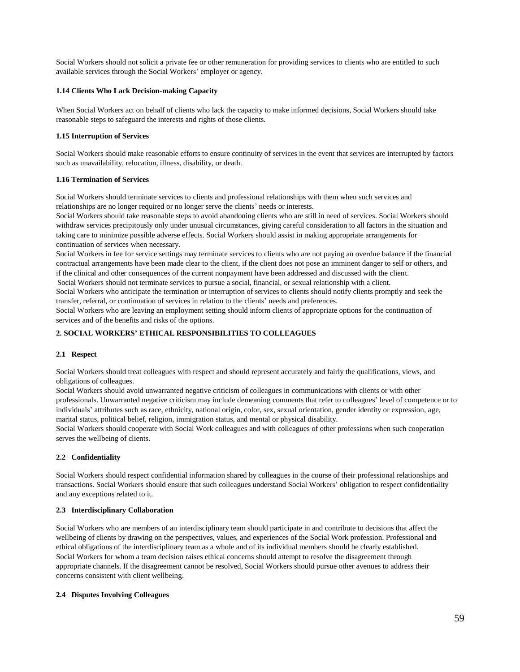Social Workers should not solicit a private fee or other remuneration for providing services to clients who are entitled to such available services through the Social Workers' employer or agency.

### **1.14 Clients Who Lack Decision-making Capacity**

When Social Workers act on behalf of clients who lack the capacity to make informed decisions, Social Workers should take reasonable steps to safeguard the interests and rights of those clients.

### **1.15 Interruption of Services**

Social Workers should make reasonable efforts to ensure continuity of services in the event that services are interrupted by factors such as unavailability, relocation, illness, disability, or death.

### **1.16 Termination of Services**

Social Workers should terminate services to clients and professional relationships with them when such services and relationships are no longer required or no longer serve the clients' needs or interests.

Social Workers should take reasonable steps to avoid abandoning clients who are still in need of services. Social Workers should withdraw services precipitously only under unusual circumstances, giving careful consideration to all factors in the situation and taking care to minimize possible adverse effects. Social Workers should assist in making appropriate arrangements for continuation of services when necessary.

Social Workers in fee for service settings may terminate services to clients who are not paying an overdue balance if the financial contractual arrangements have been made clear to the client, if the client does not pose an imminent danger to self or others, and if the clinical and other consequences of the current nonpayment have been addressed and discussed with the client.

Social Workers should not terminate services to pursue a social, financial, or sexual relationship with a client.

Social Workers who anticipate the termination or interruption of services to clients should notify clients promptly and seek the transfer, referral, or continuation of services in relation to the clients' needs and preferences.

Social Workers who are leaving an employment setting should inform clients of appropriate options for the continuation of services and of the benefits and risks of the options.

### **2. SOCIAL WORKERS' ETHICAL RESPONSIBILITIES TO COLLEAGUES**

### **2.1 Respect**

Social Workers should treat colleagues with respect and should represent accurately and fairly the qualifications, views, and obligations of colleagues.

Social Workers should avoid unwarranted negative criticism of colleagues in communications with clients or with other professionals. Unwarranted negative criticism may include demeaning comments that refer to colleagues' level of competence or to individuals' attributes such as race, ethnicity, national origin, color, sex, sexual orientation, gender identity or expression, age, marital status, political belief, religion, immigration status, and mental or physical disability.

Social Workers should cooperate with Social Work colleagues and with colleagues of other professions when such cooperation serves the wellbeing of clients.

### **2.2 Confidentiality**

Social Workers should respect confidential information shared by colleagues in the course of their professional relationships and transactions. Social Workers should ensure that such colleagues understand Social Workers' obligation to respect confidentiality and any exceptions related to it.

### **2.3 Interdisciplinary Collaboration**

Social Workers who are members of an interdisciplinary team should participate in and contribute to decisions that affect the wellbeing of clients by drawing on the perspectives, values, and experiences of the Social Work profession. Professional and ethical obligations of the interdisciplinary team as a whole and of its individual members should be clearly established. Social Workers for whom a team decision raises ethical concerns should attempt to resolve the disagreement through appropriate channels. If the disagreement cannot be resolved, Social Workers should pursue other avenues to address their concerns consistent with client wellbeing.

### **2.4 Disputes Involving Colleagues**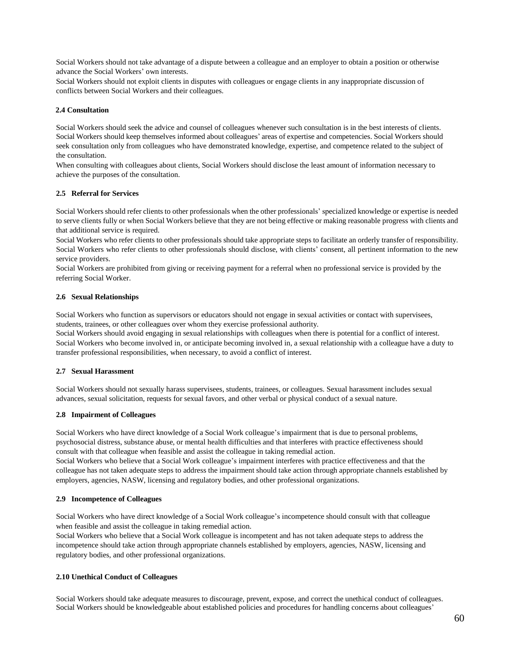Social Workers should not take advantage of a dispute between a colleague and an employer to obtain a position or otherwise advance the Social Workers' own interests.

Social Workers should not exploit clients in disputes with colleagues or engage clients in any inappropriate discussion of conflicts between Social Workers and their colleagues.

### **2.4 Consultation**

Social Workers should seek the advice and counsel of colleagues whenever such consultation is in the best interests of clients. Social Workers should keep themselves informed about colleagues' areas of expertise and competencies. Social Workers should seek consultation only from colleagues who have demonstrated knowledge, expertise, and competence related to the subject of the consultation.

When consulting with colleagues about clients, Social Workers should disclose the least amount of information necessary to achieve the purposes of the consultation.

### **2.5 Referral for Services**

Social Workers should refer clients to other professionals when the other professionals' specialized knowledge or expertise is needed to serve clients fully or when Social Workers believe that they are not being effective or making reasonable progress with clients and that additional service is required.

Social Workers who refer clients to other professionals should take appropriate steps to facilitate an orderly transfer of responsibility. Social Workers who refer clients to other professionals should disclose, with clients' consent, all pertinent information to the new service providers.

Social Workers are prohibited from giving or receiving payment for a referral when no professional service is provided by the referring Social Worker.

### **2.6 Sexual Relationships**

Social Workers who function as supervisors or educators should not engage in sexual activities or contact with supervisees, students, trainees, or other colleagues over whom they exercise professional authority.

Social Workers should avoid engaging in sexual relationships with colleagues when there is potential for a conflict of interest. Social Workers who become involved in, or anticipate becoming involved in, a sexual relationship with a colleague have a duty to transfer professional responsibilities, when necessary, to avoid a conflict of interest.

### **2.7 Sexual Harassment**

Social Workers should not sexually harass supervisees, students, trainees, or colleagues. Sexual harassment includes sexual advances, sexual solicitation, requests for sexual favors, and other verbal or physical conduct of a sexual nature.

### **2.8 Impairment of Colleagues**

Social Workers who have direct knowledge of a Social Work colleague's impairment that is due to personal problems, psychosocial distress, substance abuse, or mental health difficulties and that interferes with practice effectiveness should consult with that colleague when feasible and assist the colleague in taking remedial action.

Social Workers who believe that a Social Work colleague's impairment interferes with practice effectiveness and that the colleague has not taken adequate steps to address the impairment should take action through appropriate channels established by employers, agencies, NASW, licensing and regulatory bodies, and other professional organizations.

### **2.9 Incompetence of Colleagues**

Social Workers who have direct knowledge of a Social Work colleague's incompetence should consult with that colleague when feasible and assist the colleague in taking remedial action.

Social Workers who believe that a Social Work colleague is incompetent and has not taken adequate steps to address the incompetence should take action through appropriate channels established by employers, agencies, NASW, licensing and regulatory bodies, and other professional organizations.

### **2.10 Unethical Conduct of Colleagues**

Social Workers should take adequate measures to discourage, prevent, expose, and correct the unethical conduct of colleagues. Social Workers should be knowledgeable about established policies and procedures for handling concerns about colleagues'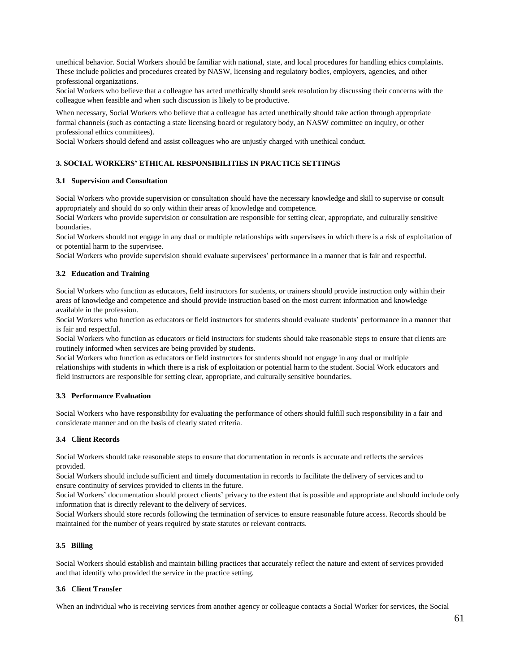unethical behavior. Social Workers should be familiar with national, state, and local procedures for handling ethics complaints. These include policies and procedures created by NASW, licensing and regulatory bodies, employers, agencies, and other professional organizations.

Social Workers who believe that a colleague has acted unethically should seek resolution by discussing their concerns with the colleague when feasible and when such discussion is likely to be productive.

When necessary, Social Workers who believe that a colleague has acted unethically should take action through appropriate formal channels (such as contacting a state licensing board or regulatory body, an NASW committee on inquiry, or other professional ethics committees).

Social Workers should defend and assist colleagues who are unjustly charged with unethical conduct.

### **3. SOCIAL WORKERS' ETHICAL RESPONSIBILITIES IN PRACTICE SETTINGS**

### **3.1 Supervision and Consultation**

Social Workers who provide supervision or consultation should have the necessary knowledge and skill to supervise or consult appropriately and should do so only within their areas of knowledge and competence.

Social Workers who provide supervision or consultation are responsible for setting clear, appropriate, and culturally sensitive boundaries.

Social Workers should not engage in any dual or multiple relationships with supervisees in which there is a risk of exploitation of or potential harm to the supervisee.

Social Workers who provide supervision should evaluate supervisees' performance in a manner that is fair and respectful.

### **3.2 Education and Training**

Social Workers who function as educators, field instructors for students, or trainers should provide instruction only within their areas of knowledge and competence and should provide instruction based on the most current information and knowledge available in the profession.

Social Workers who function as educators or field instructors for students should evaluate students' performance in a manner that is fair and respectful.

Social Workers who function as educators or field instructors for students should take reasonable steps to ensure that clients are routinely informed when services are being provided by students.

Social Workers who function as educators or field instructors for students should not engage in any dual or multiple relationships with students in which there is a risk of exploitation or potential harm to the student. Social Work educators and field instructors are responsible for setting clear, appropriate, and culturally sensitive boundaries.

### **3.3 Performance Evaluation**

Social Workers who have responsibility for evaluating the performance of others should fulfill such responsibility in a fair and considerate manner and on the basis of clearly stated criteria.

### **3.4 Client Records**

Social Workers should take reasonable steps to ensure that documentation in records is accurate and reflects the services provided.

Social Workers should include sufficient and timely documentation in records to facilitate the delivery of services and to ensure continuity of services provided to clients in the future.

Social Workers' documentation should protect clients' privacy to the extent that is possible and appropriate and should include only information that is directly relevant to the delivery of services.

Social Workers should store records following the termination of services to ensure reasonable future access. Records should be maintained for the number of years required by state statutes or relevant contracts.

### **3.5 Billing**

Social Workers should establish and maintain billing practices that accurately reflect the nature and extent of services provided and that identify who provided the service in the practice setting.

### **3.6 Client Transfer**

When an individual who is receiving services from another agency or colleague contacts a Social Worker for services, the Social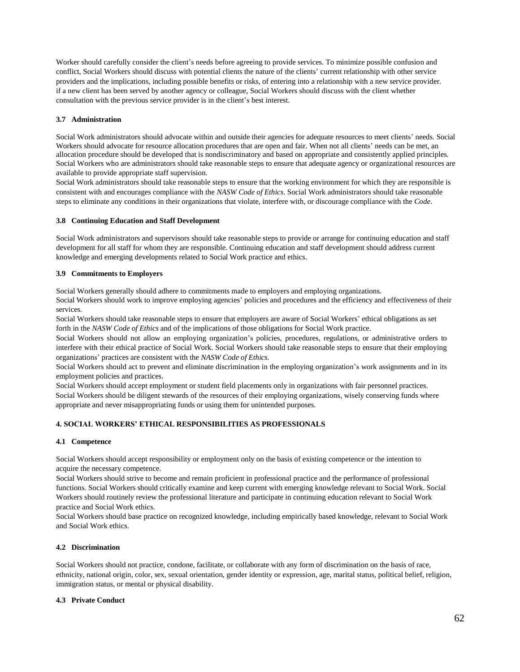Worker should carefully consider the client's needs before agreeing to provide services. To minimize possible confusion and conflict, Social Workers should discuss with potential clients the nature of the clients' current relationship with other service providers and the implications, including possible benefits or risks, of entering into a relationship with a new service provider. if a new client has been served by another agency or colleague, Social Workers should discuss with the client whether consultation with the previous service provider is in the client's best interest.

### **3.7 Administration**

Social Work administrators should advocate within and outside their agencies for adequate resources to meet clients' needs. Social Workers should advocate for resource allocation procedures that are open and fair. When not all clients' needs can be met, an allocation procedure should be developed that is nondiscriminatory and based on appropriate and consistently applied principles. Social Workers who are administrators should take reasonable steps to ensure that adequate agency or organizational resources are available to provide appropriate staff supervision.

Social Work administrators should take reasonable steps to ensure that the working environment for which they are responsible is consistent with and encourages compliance with the *NASW Code of Ethics*. Social Work administrators should take reasonable steps to eliminate any conditions in their organizations that violate, interfere with, or discourage compliance with the *Code*.

### **3.8 Continuing Education and Staff Development**

Social Work administrators and supervisors should take reasonable steps to provide or arrange for continuing education and staff development for all staff for whom they are responsible. Continuing education and staff development should address current knowledge and emerging developments related to Social Work practice and ethics.

### **3.9 Commitments to Employers**

Social Workers generally should adhere to commitments made to employers and employing organizations.

Social Workers should work to improve employing agencies' policies and procedures and the efficiency and effectiveness of their services.

Social Workers should take reasonable steps to ensure that employers are aware of Social Workers' ethical obligations as set forth in the *NASW Code of Ethics* and of the implications of those obligations for Social Work practice.

Social Workers should not allow an employing organization's policies, procedures, regulations, or administrative orders to interfere with their ethical practice of Social Work. Social Workers should take reasonable steps to ensure that their employing organizations' practices are consistent with the *NASW Code of Ethics*.

Social Workers should act to prevent and eliminate discrimination in the employing organization's work assignments and in its employment policies and practices.

Social Workers should accept employment or student field placements only in organizations with fair personnel practices. Social Workers should be diligent stewards of the resources of their employing organizations, wisely conserving funds where appropriate and never misappropriating funds or using them for unintended purposes.

### **4. SOCIAL WORKERS' ETHICAL RESPONSIBILITIES AS PROFESSIONALS**

### **4.1 Competence**

Social Workers should accept responsibility or employment only on the basis of existing competence or the intention to acquire the necessary competence.

Social Workers should strive to become and remain proficient in professional practice and the performance of professional functions. Social Workers should critically examine and keep current with emerging knowledge relevant to Social Work. Social Workers should routinely review the professional literature and participate in continuing education relevant to Social Work practice and Social Work ethics.

Social Workers should base practice on recognized knowledge, including empirically based knowledge, relevant to Social Work and Social Work ethics.

### **4.2 Discrimination**

Social Workers should not practice, condone, facilitate, or collaborate with any form of discrimination on the basis of race, ethnicity, national origin, color, sex, sexual orientation, gender identity or expression, age, marital status, political belief, religion, immigration status, or mental or physical disability.

### **4.3 Private Conduct**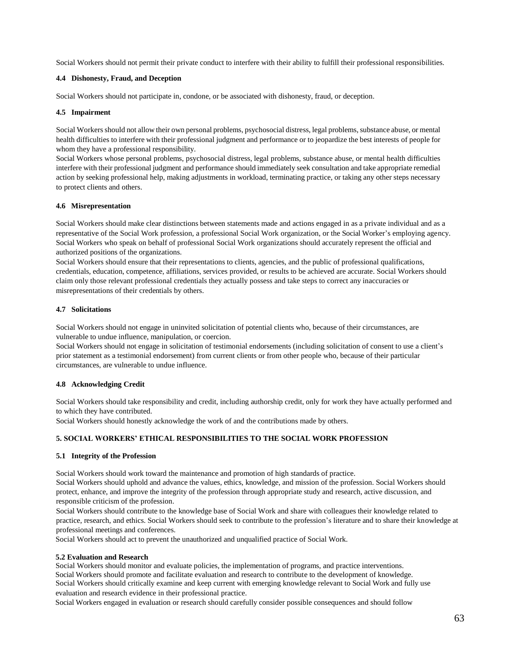Social Workers should not permit their private conduct to interfere with their ability to fulfill their professional responsibilities.

### **4.4 Dishonesty, Fraud, and Deception**

Social Workers should not participate in, condone, or be associated with dishonesty, fraud, or deception.

### **4.5 Impairment**

Social Workers should not allow their own personal problems, psychosocial distress, legal problems, substance abuse, or mental health difficulties to interfere with their professional judgment and performance or to jeopardize the best interests of people for whom they have a professional responsibility.

Social Workers whose personal problems, psychosocial distress, legal problems, substance abuse, or mental health difficulties interfere with their professional judgment and performance should immediately seek consultation and take appropriate remedial action by seeking professional help, making adjustments in workload, terminating practice, or taking any other steps necessary to protect clients and others.

### **4.6 Misrepresentation**

Social Workers should make clear distinctions between statements made and actions engaged in as a private individual and as a representative of the Social Work profession, a professional Social Work organization, or the Social Worker's employing agency. Social Workers who speak on behalf of professional Social Work organizations should accurately represent the official and authorized positions of the organizations.

Social Workers should ensure that their representations to clients, agencies, and the public of professional qualifications, credentials, education, competence, affiliations, services provided, or results to be achieved are accurate. Social Workers should claim only those relevant professional credentials they actually possess and take steps to correct any inaccuracies or misrepresentations of their credentials by others.

### **4.7 Solicitations**

Social Workers should not engage in uninvited solicitation of potential clients who, because of their circumstances, are vulnerable to undue influence, manipulation, or coercion.

Social Workers should not engage in solicitation of testimonial endorsements (including solicitation of consent to use a client's prior statement as a testimonial endorsement) from current clients or from other people who, because of their particular circumstances, are vulnerable to undue influence.

### **4.8 Acknowledging Credit**

Social Workers should take responsibility and credit, including authorship credit, only for work they have actually performed and to which they have contributed.

Social Workers should honestly acknowledge the work of and the contributions made by others.

### **5. SOCIAL WORKERS' ETHICAL RESPONSIBILITIES TO THE SOCIAL WORK PROFESSION**

### **5.1 Integrity of the Profession**

Social Workers should work toward the maintenance and promotion of high standards of practice.

Social Workers should uphold and advance the values, ethics, knowledge, and mission of the profession. Social Workers should protect, enhance, and improve the integrity of the profession through appropriate study and research, active discussion, and responsible criticism of the profession.

Social Workers should contribute to the knowledge base of Social Work and share with colleagues their knowledge related to practice, research, and ethics. Social Workers should seek to contribute to the profession's literature and to share their knowledge at professional meetings and conferences.

Social Workers should act to prevent the unauthorized and unqualified practice of Social Work.

### **5.2 Evaluation and Research**

 Social Workers should monitor and evaluate policies, the implementation of programs, and practice interventions. Social Workers should promote and facilitate evaluation and research to contribute to the development of knowledge. Social Workers should critically examine and keep current with emerging knowledge relevant to Social Work and fully use evaluation and research evidence in their professional practice.

Social Workers engaged in evaluation or research should carefully consider possible consequences and should follow